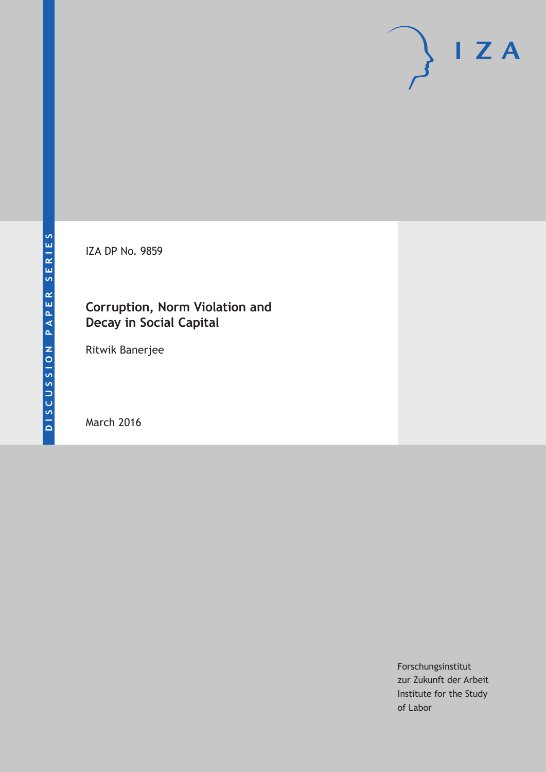IZA DP No. 9859

# **Corruption, Norm Violation and Decay in Social Capital**

Ritwik Banerjee

March 2016

Forschungsinstitut zur Zukunft der Arbeit Institute for the Study of Labor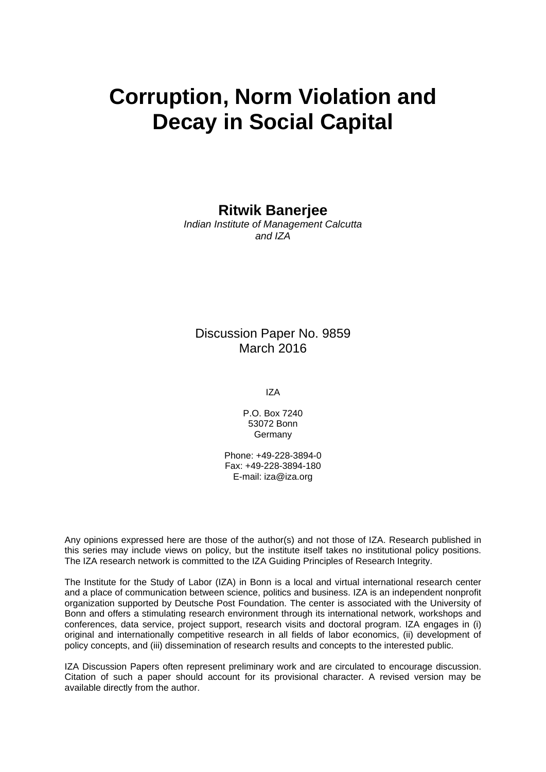# **Corruption, Norm Violation and Decay in Social Capital**

# **Ritwik Banerjee**

*Indian Institute of Management Calcutta and IZA* 

# Discussion Paper No. 9859 March 2016

IZA

P.O. Box 7240 53072 Bonn Germany

Phone: +49-228-3894-0 Fax: +49-228-3894-180 E-mail: iza@iza.org

Any opinions expressed here are those of the author(s) and not those of IZA. Research published in this series may include views on policy, but the institute itself takes no institutional policy positions. The IZA research network is committed to the IZA Guiding Principles of Research Integrity.

The Institute for the Study of Labor (IZA) in Bonn is a local and virtual international research center and a place of communication between science, politics and business. IZA is an independent nonprofit organization supported by Deutsche Post Foundation. The center is associated with the University of Bonn and offers a stimulating research environment through its international network, workshops and conferences, data service, project support, research visits and doctoral program. IZA engages in (i) original and internationally competitive research in all fields of labor economics, (ii) development of policy concepts, and (iii) dissemination of research results and concepts to the interested public.

IZA Discussion Papers often represent preliminary work and are circulated to encourage discussion. Citation of such a paper should account for its provisional character. A revised version may be available directly from the author.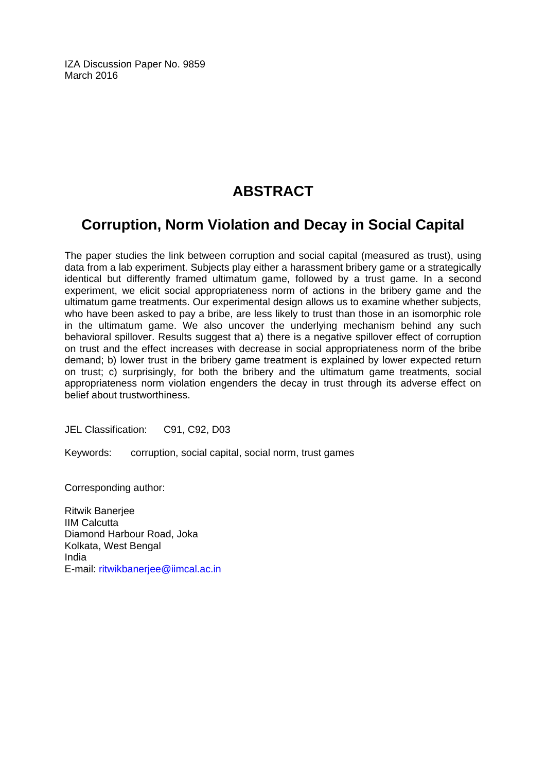IZA Discussion Paper No. 9859 March 2016

# **ABSTRACT**

# **Corruption, Norm Violation and Decay in Social Capital**

The paper studies the link between corruption and social capital (measured as trust), using data from a lab experiment. Subjects play either a harassment bribery game or a strategically identical but differently framed ultimatum game, followed by a trust game. In a second experiment, we elicit social appropriateness norm of actions in the bribery game and the ultimatum game treatments. Our experimental design allows us to examine whether subjects, who have been asked to pay a bribe, are less likely to trust than those in an isomorphic role in the ultimatum game. We also uncover the underlying mechanism behind any such behavioral spillover. Results suggest that a) there is a negative spillover effect of corruption on trust and the effect increases with decrease in social appropriateness norm of the bribe demand; b) lower trust in the bribery game treatment is explained by lower expected return on trust; c) surprisingly, for both the bribery and the ultimatum game treatments, social appropriateness norm violation engenders the decay in trust through its adverse effect on belief about trustworthiness.

JEL Classification: C91, C92, D03

Keywords: corruption, social capital, social norm, trust games

Corresponding author:

Ritwik Banerjee IIM Calcutta Diamond Harbour Road, Joka Kolkata, West Bengal India E-mail: ritwikbanerjee@iimcal.ac.in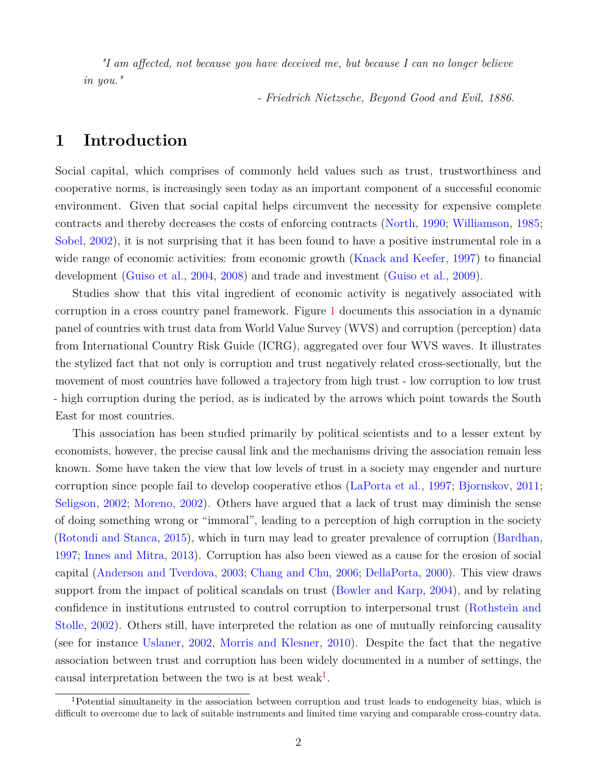*"I am affected, not because you have deceived me, but because I can no longer believe in you."*

*- Friedrich Nietzsche, Beyond Good and Evil, 1886.*

# **1 Introduction**

Social capital, which comprises of commonly held values such as trust, trustworthiness and cooperative norms, is increasingly seen today as an important component of a successful economic environment. Given that social capital helps circumvent the necessity for expensive complete contracts and thereby decreases the costs of enforcing contracts [\(North,](#page-28-0) [1990;](#page-28-0) [Williamson,](#page-28-1) [1985;](#page-28-1) [Sobel,](#page-28-2) [2002\)](#page-28-2), it is not surprising that it has been found to have a positive instrumental role in a wide range of economic activities: from economic growth [\(Knack and Keefer,](#page-27-0) [1997\)](#page-27-0) to financial development [\(Guiso et al.,](#page-27-1) [2004,](#page-27-1) [2008\)](#page-27-2) and trade and investment [\(Guiso et al.,](#page-27-3) [2009\)](#page-27-3).

Studies show that this vital ingredient of economic activity is negatively associated with corruption in a cross country panel framework. Figure [1](#page-4-0) documents this association in a dynamic panel of countries with trust data from World Value Survey (WVS) and corruption (perception) data from International Country Risk Guide (ICRG), aggregated over four WVS waves. It illustrates the stylized fact that not only is corruption and trust negatively related cross-sectionally, but the movement of most countries have followed a trajectory from high trust - low corruption to low trust - high corruption during the period, as is indicated by the arrows which point towards the South East for most countries.

This association has been studied primarily by political scientists and to a lesser extent by economists, however, the precise causal link and the mechanisms driving the association remain less known. Some have taken the view that low levels of trust in a society may engender and nurture corruption since people fail to develop cooperative ethos [\(LaPorta et al.,](#page-27-4) [1997;](#page-27-4) [Bjornskov,](#page-25-0) [2011;](#page-25-0) [Seligson,](#page-28-3) [2002;](#page-28-3) [Moreno,](#page-28-4) [2002\)](#page-28-4). Others have argued that a lack of trust may diminish the sense of doing something wrong or "immoral", leading to a perception of high corruption in the society [\(Rotondi and Stanca,](#page-28-5) [2015\)](#page-28-5), which in turn may lead to greater prevalence of corruption [\(Bardhan,](#page-25-1) [1997;](#page-25-1) [Innes and Mitra,](#page-27-5) [2013\)](#page-27-5). Corruption has also been viewed as a cause for the erosion of social capital [\(Anderson and Tverdova,](#page-25-2) [2003;](#page-25-2) [Chang and Chu,](#page-26-0) [2006;](#page-26-0) [DellaPorta,](#page-26-1) [2000\)](#page-26-1). This view draws support from the impact of political scandals on trust [\(Bowler and Karp,](#page-25-3) [2004\)](#page-25-3), and by relating confidence in institutions entrusted to control corruption to interpersonal trust [\(Rothstein and](#page-28-6) [Stolle,](#page-28-6) [2002\)](#page-28-6). Others still, have interpreted the relation as one of mutually reinforcing causality (see for instance [Uslaner,](#page-28-7) [2002,](#page-28-7) [Morris and Klesner,](#page-28-8) [2010\)](#page-28-8). Despite the fact that the negative association between trust and corruption has been widely documented in a number of settings, the causal interpretation between the two is at best weak<sup>[1](#page--1-0)</sup>.

<sup>1</sup>Potential simultaneity in the association between corruption and trust leads to endogeneity bias, which is difficult to overcome due to lack of suitable instruments and limited time varying and comparable cross-country data.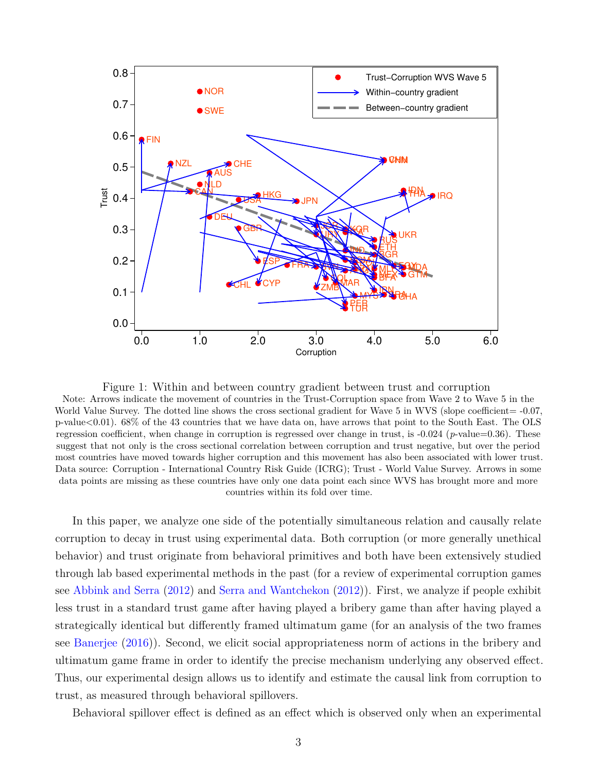<span id="page-4-0"></span>

Figure 1: Within and between country gradient between trust and corruption Note: Arrows indicate the movement of countries in the Trust-Corruption space from Wave 2 to Wave 5 in the World Value Survey. The dotted line shows the cross sectional gradient for Wave 5 in WVS (slope coefficient= -0.07, p-value<0.01). 68% of the 43 countries that we have data on, have arrows that point to the South East. The OLS regression coefficient, when change in corruption is regressed over change in trust, is -0.024 (*p*-value=0.36). These suggest that not only is the cross sectional correlation between corruption and trust negative, but over the period most countries have moved towards higher corruption and this movement has also been associated with lower trust. Data source: Corruption - International Country Risk Guide (ICRG); Trust - World Value Survey. Arrows in some data points are missing as these countries have only one data point each since WVS has brought more and more countries within its fold over time.

In this paper, we analyze one side of the potentially simultaneous relation and causally relate corruption to decay in trust using experimental data. Both corruption (or more generally unethical behavior) and trust originate from behavioral primitives and both have been extensively studied through lab based experimental methods in the past (for a review of experimental corruption games see [Abbink and Serra](#page-24-0) [\(2012\)](#page-24-0) and [Serra and Wantchekon](#page-28-9) [\(2012\)](#page-28-9)). First, we analyze if people exhibit less trust in a standard trust game after having played a bribery game than after having played a strategically identical but differently framed ultimatum game (for an analysis of the two frames see [Banerjee](#page-25-4) [\(2016\)](#page-25-4)). Second, we elicit social appropriateness norm of actions in the bribery and ultimatum game frame in order to identify the precise mechanism underlying any observed effect. Thus, our experimental design allows us to identify and estimate the causal link from corruption to trust, as measured through behavioral spillovers.

Behavioral spillover effect is defined as an effect which is observed only when an experimental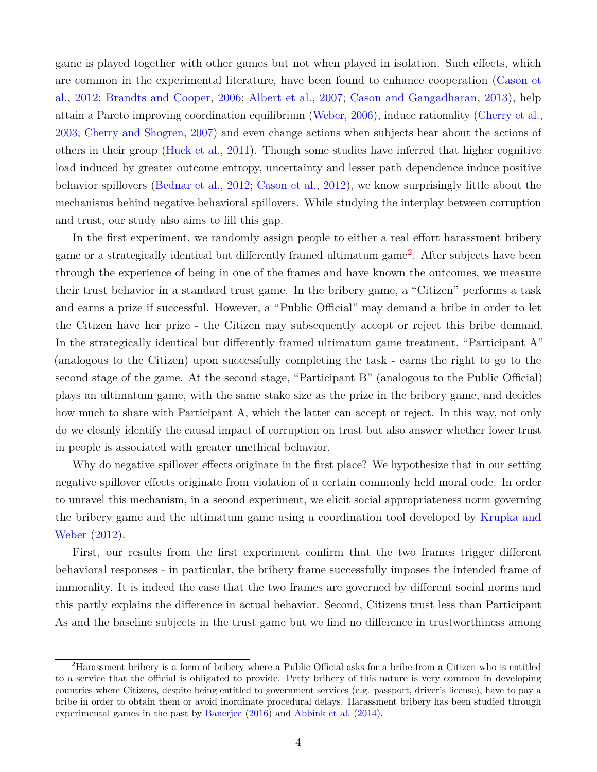game is played together with other games but not when played in isolation. Such effects, which are common in the experimental literature, have been found to enhance cooperation [\(Cason et](#page-26-2) [al.,](#page-26-2) [2012;](#page-26-2) [Brandts and Cooper,](#page-25-5) [2006;](#page-25-5) [Albert et al.,](#page-24-1) [2007;](#page-24-1) [Cason and Gangadharan,](#page-26-3) [2013\)](#page-26-3), help attain a Pareto improving coordination equilibrium [\(Weber,](#page-28-10) [2006\)](#page-28-10), induce rationality [\(Cherry et al.,](#page-26-4) [2003;](#page-26-4) [Cherry and Shogren,](#page-26-5) [2007\)](#page-26-5) and even change actions when subjects hear about the actions of others in their group [\(Huck et al.,](#page-27-6) [2011\)](#page-27-6). Though some studies have inferred that higher cognitive load induced by greater outcome entropy, uncertainty and lesser path dependence induce positive behavior spillovers [\(Bednar et al.,](#page-25-6) [2012;](#page-25-6) [Cason et al.,](#page-26-2) [2012\)](#page-26-2), we know surprisingly little about the mechanisms behind negative behavioral spillovers. While studying the interplay between corruption and trust, our study also aims to fill this gap.

In the first experiment, we randomly assign people to either a real effort harassment bribery game or a strategically identical but differently framed ultimatum game<sup>[2](#page--1-0)</sup>. After subjects have been through the experience of being in one of the frames and have known the outcomes, we measure their trust behavior in a standard trust game. In the bribery game, a "Citizen" performs a task and earns a prize if successful. However, a "Public Official" may demand a bribe in order to let the Citizen have her prize - the Citizen may subsequently accept or reject this bribe demand. In the strategically identical but differently framed ultimatum game treatment, "Participant A" (analogous to the Citizen) upon successfully completing the task - earns the right to go to the second stage of the game. At the second stage, "Participant B" (analogous to the Public Official) plays an ultimatum game, with the same stake size as the prize in the bribery game, and decides how much to share with Participant A, which the latter can accept or reject. In this way, not only do we cleanly identify the causal impact of corruption on trust but also answer whether lower trust in people is associated with greater unethical behavior.

Why do negative spillover effects originate in the first place? We hypothesize that in our setting negative spillover effects originate from violation of a certain commonly held moral code. In order to unravel this mechanism, in a second experiment, we elicit social appropriateness norm governing the bribery game and the ultimatum game using a coordination tool developed by [Krupka and](#page-27-7) [Weber](#page-27-7) [\(2012\)](#page-27-7).

First, our results from the first experiment confirm that the two frames trigger different behavioral responses - in particular, the bribery frame successfully imposes the intended frame of immorality. It is indeed the case that the two frames are governed by different social norms and this partly explains the difference in actual behavior. Second, Citizens trust less than Participant As and the baseline subjects in the trust game but we find no difference in trustworthiness among

<sup>2</sup>Harassment bribery is a form of bribery where a Public Official asks for a bribe from a Citizen who is entitled to a service that the official is obligated to provide. Petty bribery of this nature is very common in developing countries where Citizens, despite being entitled to government services (e.g. passport, driver's license), have to pay a bribe in order to obtain them or avoid inordinate procedural delays. Harassment bribery has been studied through experimental games in the past by [Banerjee](#page-25-4) [\(2016\)](#page-25-4) and [Abbink et al.](#page-24-2) [\(2014\)](#page-24-2).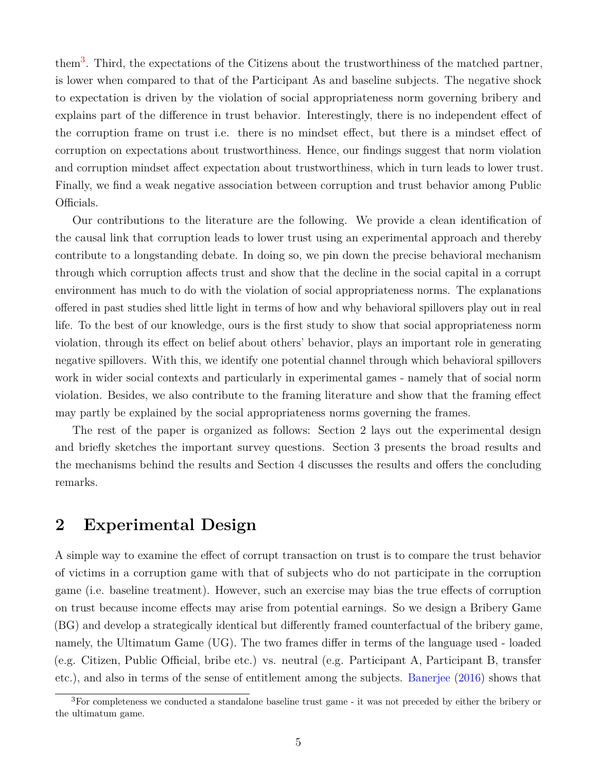them<sup>[3](#page--1-0)</sup>. Third, the expectations of the Citizens about the trustworthiness of the matched partner, is lower when compared to that of the Participant As and baseline subjects. The negative shock to expectation is driven by the violation of social appropriateness norm governing bribery and explains part of the difference in trust behavior. Interestingly, there is no independent effect of the corruption frame on trust i.e. there is no mindset effect, but there is a mindset effect of corruption on expectations about trustworthiness. Hence, our findings suggest that norm violation and corruption mindset affect expectation about trustworthiness, which in turn leads to lower trust. Finally, we find a weak negative association between corruption and trust behavior among Public Officials.

Our contributions to the literature are the following. We provide a clean identification of the causal link that corruption leads to lower trust using an experimental approach and thereby contribute to a longstanding debate. In doing so, we pin down the precise behavioral mechanism through which corruption affects trust and show that the decline in the social capital in a corrupt environment has much to do with the violation of social appropriateness norms. The explanations offered in past studies shed little light in terms of how and why behavioral spillovers play out in real life. To the best of our knowledge, ours is the first study to show that social appropriateness norm violation, through its effect on belief about others' behavior, plays an important role in generating negative spillovers. With this, we identify one potential channel through which behavioral spillovers work in wider social contexts and particularly in experimental games - namely that of social norm violation. Besides, we also contribute to the framing literature and show that the framing effect may partly be explained by the social appropriateness norms governing the frames.

The rest of the paper is organized as follows: Section 2 lays out the experimental design and briefly sketches the important survey questions. Section 3 presents the broad results and the mechanisms behind the results and Section 4 discusses the results and offers the concluding remarks.

# **2 Experimental Design**

A simple way to examine the effect of corrupt transaction on trust is to compare the trust behavior of victims in a corruption game with that of subjects who do not participate in the corruption game (i.e. baseline treatment). However, such an exercise may bias the true effects of corruption on trust because income effects may arise from potential earnings. So we design a Bribery Game (BG) and develop a strategically identical but differently framed counterfactual of the bribery game, namely, the Ultimatum Game (UG). The two frames differ in terms of the language used - loaded (e.g. Citizen, Public Official, bribe etc.) vs. neutral (e.g. Participant A, Participant B, transfer etc.), and also in terms of the sense of entitlement among the subjects. [Banerjee](#page-25-4) [\(2016\)](#page-25-4) shows that

<sup>3</sup>For completeness we conducted a standalone baseline trust game - it was not preceded by either the bribery or the ultimatum game.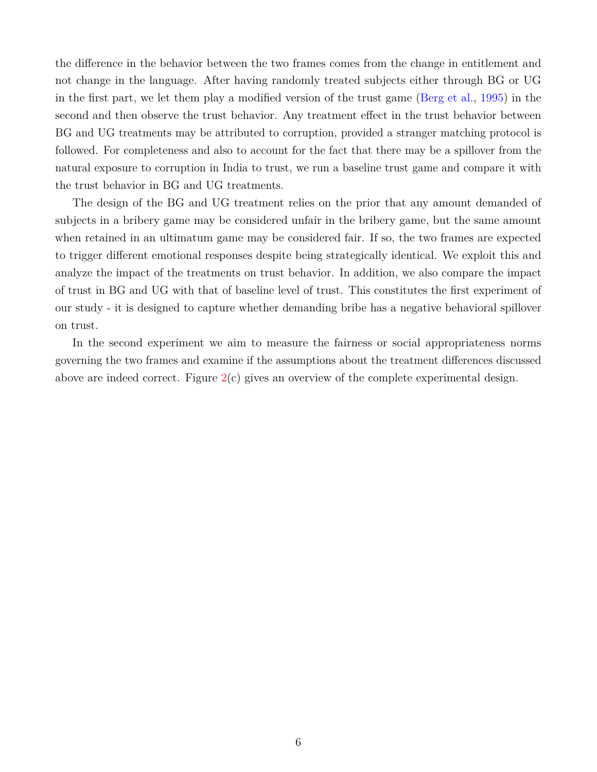the difference in the behavior between the two frames comes from the change in entitlement and not change in the language. After having randomly treated subjects either through BG or UG in the first part, we let them play a modified version of the trust game [\(Berg et al.,](#page-25-7) [1995\)](#page-25-7) in the second and then observe the trust behavior. Any treatment effect in the trust behavior between BG and UG treatments may be attributed to corruption, provided a stranger matching protocol is followed. For completeness and also to account for the fact that there may be a spillover from the natural exposure to corruption in India to trust, we run a baseline trust game and compare it with the trust behavior in BG and UG treatments.

The design of the BG and UG treatment relies on the prior that any amount demanded of subjects in a bribery game may be considered unfair in the bribery game, but the same amount when retained in an ultimatum game may be considered fair. If so, the two frames are expected to trigger different emotional responses despite being strategically identical. We exploit this and analyze the impact of the treatments on trust behavior. In addition, we also compare the impact of trust in BG and UG with that of baseline level of trust. This constitutes the first experiment of our study - it is designed to capture whether demanding bribe has a negative behavioral spillover on trust.

In the second experiment we aim to measure the fairness or social appropriateness norms governing the two frames and examine if the assumptions about the treatment differences discussed above are indeed correct. Figure  $2(c)$  $2(c)$  gives an overview of the complete experimental design.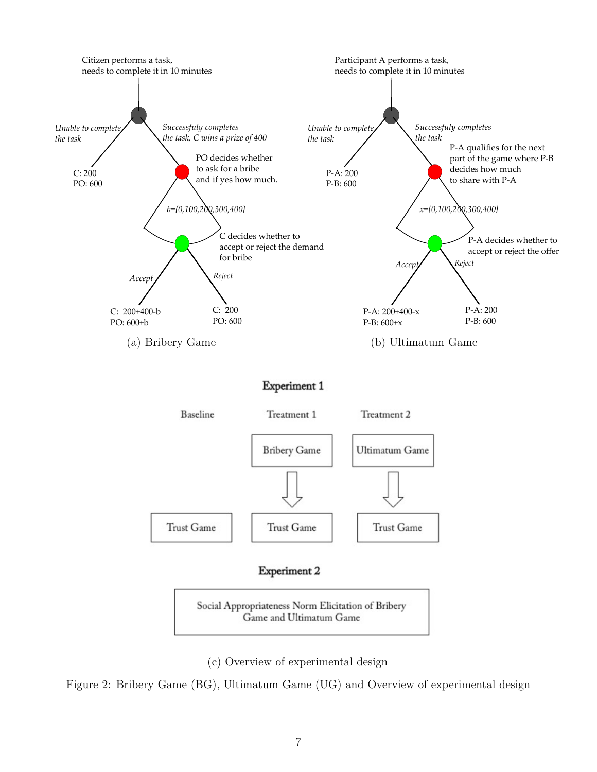<span id="page-8-0"></span>

(c) Overview of experimental design

Figure 2: Bribery Game (BG), Ultimatum Game (UG) and Overview of experimental design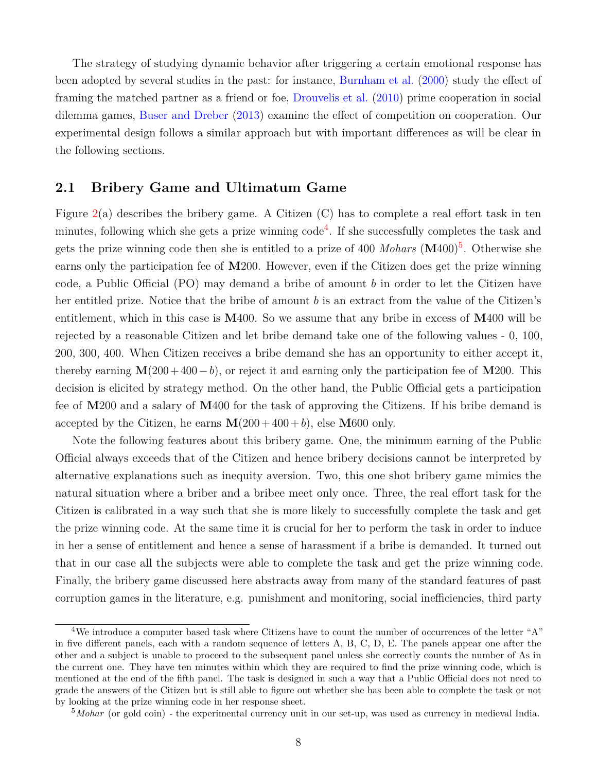The strategy of studying dynamic behavior after triggering a certain emotional response has been adopted by several studies in the past: for instance, [Burnham et al.](#page-25-8) [\(2000\)](#page-25-8) study the effect of framing the matched partner as a friend or foe, [Drouvelis et al.](#page-26-6) [\(2010\)](#page-26-6) prime cooperation in social dilemma games, [Buser and Dreber](#page-25-9) [\(2013\)](#page-25-9) examine the effect of competition on cooperation. Our experimental design follows a similar approach but with important differences as will be clear in the following sections.

### **2.1 Bribery Game and Ultimatum Game**

Figure [2\(](#page-8-0)a) describes the bribery game. A Citizen (C) has to complete a real effort task in ten minutes, following which she gets a prize winning code<sup>[4](#page--1-0)</sup>. If she successfully completes the task and gets the prize winning code then she is entitled to a prize of 400 *Mohars* (M400)<sup>[5](#page--1-0)</sup>. Otherwise she earns only the participation fee of **M**200. However, even if the Citizen does get the prize winning code, a Public Official (PO) may demand a bribe of amount *b* in order to let the Citizen have her entitled prize. Notice that the bribe of amount *b* is an extract from the value of the Citizen's entitlement, which in this case is **M**400. So we assume that any bribe in excess of **M**400 will be rejected by a reasonable Citizen and let bribe demand take one of the following values - 0, 100, 200, 300, 400. When Citizen receives a bribe demand she has an opportunity to either accept it, thereby earning  $\mathbf{M}(200 + 400 - b)$ , or reject it and earning only the participation fee of  $\mathbf{M}200$ . This decision is elicited by strategy method. On the other hand, the Public Official gets a participation fee of **M**200 and a salary of **M**400 for the task of approving the Citizens. If his bribe demand is accepted by the Citizen, he earns  $M(200 + 400 + b)$ , else M600 only.

Note the following features about this bribery game. One, the minimum earning of the Public Official always exceeds that of the Citizen and hence bribery decisions cannot be interpreted by alternative explanations such as inequity aversion. Two, this one shot bribery game mimics the natural situation where a briber and a bribee meet only once. Three, the real effort task for the Citizen is calibrated in a way such that she is more likely to successfully complete the task and get the prize winning code. At the same time it is crucial for her to perform the task in order to induce in her a sense of entitlement and hence a sense of harassment if a bribe is demanded. It turned out that in our case all the subjects were able to complete the task and get the prize winning code. Finally, the bribery game discussed here abstracts away from many of the standard features of past corruption games in the literature, e.g. punishment and monitoring, social inefficiencies, third party

<sup>&</sup>lt;sup>4</sup>We introduce a computer based task where Citizens have to count the number of occurrences of the letter "A" in five different panels, each with a random sequence of letters A, B, C, D, E. The panels appear one after the other and a subject is unable to proceed to the subsequent panel unless she correctly counts the number of As in the current one. They have ten minutes within which they are required to find the prize winning code, which is mentioned at the end of the fifth panel. The task is designed in such a way that a Public Official does not need to grade the answers of the Citizen but is still able to figure out whether she has been able to complete the task or not by looking at the prize winning code in her response sheet.

<sup>&</sup>lt;sup>5</sup>*Mohar* (or gold coin) - the experimental currency unit in our set-up, was used as currency in medieval India.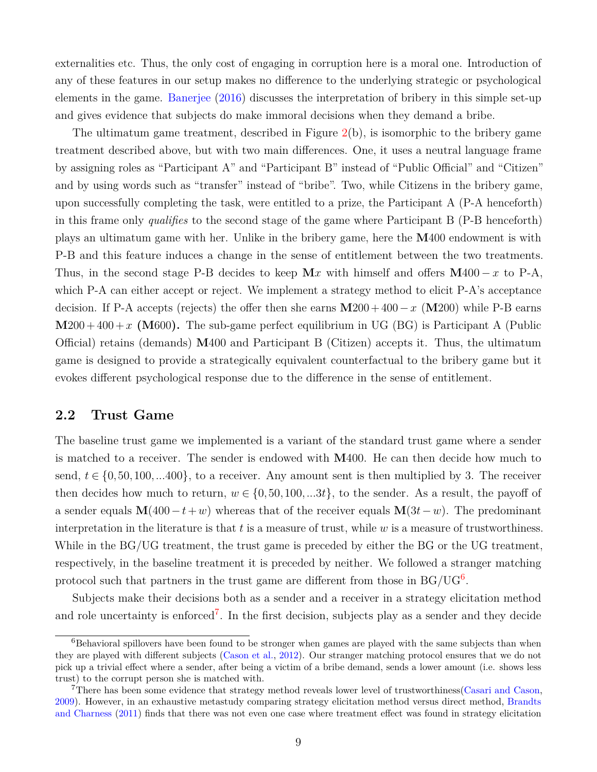externalities etc. Thus, the only cost of engaging in corruption here is a moral one. Introduction of any of these features in our setup makes no difference to the underlying strategic or psychological elements in the game. [Banerjee](#page-25-4) [\(2016\)](#page-25-4) discusses the interpretation of bribery in this simple set-up and gives evidence that subjects do make immoral decisions when they demand a bribe.

The ultimatum game treatment, described in Figure [2\(](#page-8-0)b), is isomorphic to the bribery game treatment described above, but with two main differences. One, it uses a neutral language frame by assigning roles as "Participant A" and "Participant B" instead of "Public Official" and "Citizen" and by using words such as "transfer" instead of "bribe". Two, while Citizens in the bribery game, upon successfully completing the task, were entitled to a prize, the Participant A (P-A henceforth) in this frame only *qualifies* to the second stage of the game where Participant B (P-B henceforth) plays an ultimatum game with her. Unlike in the bribery game, here the **M**400 endowment is with P-B and this feature induces a change in the sense of entitlement between the two treatments. Thus, in the second stage P-B decides to keep  $\mathbf{M}x$  with himself and offers  $\mathbf{M}400 - x$  to P-A, which P-A can either accept or reject. We implement a strategy method to elicit P-A's acceptance decision. If P-A accepts (rejects) the offer then she earns **M**200 + 400−*x* (**M**200) while P-B earns  $M200 + 400 + x$  (M600). The sub-game perfect equilibrium in UG (BG) is Participant A (Public Official) retains (demands) **M**400 and Participant B (Citizen) accepts it. Thus, the ultimatum game is designed to provide a strategically equivalent counterfactual to the bribery game but it evokes different psychological response due to the difference in the sense of entitlement.

### **2.2 Trust Game**

The baseline trust game we implemented is a variant of the standard trust game where a sender is matched to a receiver. The sender is endowed with **M**400. He can then decide how much to send,  $t \in \{0, 50, 100, \ldots 400\}$ , to a receiver. Any amount sent is then multiplied by 3. The receiver then decides how much to return,  $w \in \{0, 50, 100, ...3t\}$ , to the sender. As a result, the payoff of a sender equals  $\mathbf{M}(400 - t + w)$  whereas that of the receiver equals  $\mathbf{M}(3t - w)$ . The predominant interpretation in the literature is that *t* is a measure of trust, while *w* is a measure of trustworthiness. While in the BG/UG treatment, the trust game is preceded by either the BG or the UG treatment, respectively, in the baseline treatment it is preceded by neither. We followed a stranger matching protocol such that partners in the trust game are different from those in  $BG/UG^6$  $BG/UG^6$ .

Subjects make their decisions both as a sender and a receiver in a strategy elicitation method and role uncertainty is enforced<sup>[7](#page--1-0)</sup>. In the first decision, subjects play as a sender and they decide

 ${}^{6}$ Behavioral spillovers have been found to be stronger when games are played with the same subjects than when they are played with different subjects [\(Cason et al.,](#page-26-2) [2012\)](#page-26-2). Our stranger matching protocol ensures that we do not pick up a trivial effect where a sender, after being a victim of a bribe demand, sends a lower amount (i.e. shows less trust) to the corrupt person she is matched with.

<sup>7</sup>There has been some evidence that strategy method reveals lower level of trustworthiness[\(Casari and Cason,](#page-26-7) [2009\)](#page-26-7). However, in an exhaustive metastudy comparing strategy elicitation method versus direct method, [Brandts](#page-25-10) [and Charness](#page-25-10) [\(2011\)](#page-25-10) finds that there was not even one case where treatment effect was found in strategy elicitation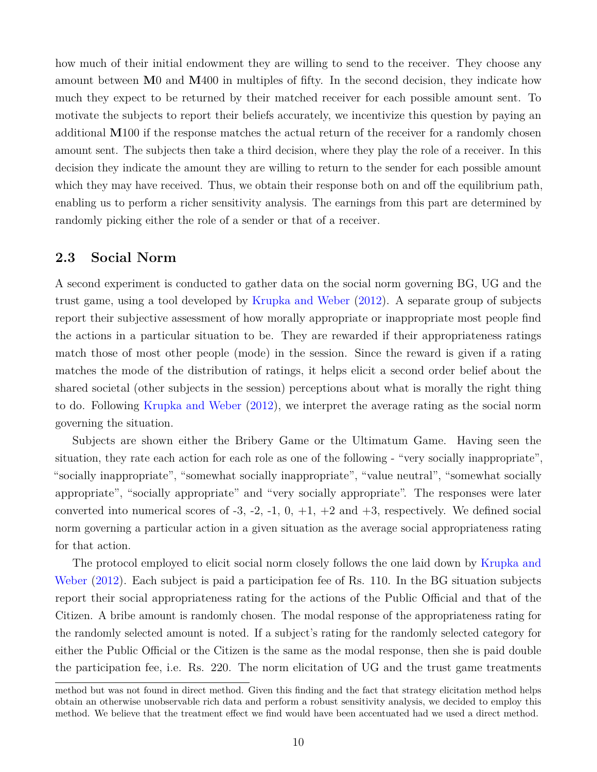how much of their initial endowment they are willing to send to the receiver. They choose any amount between **M**0 and **M**400 in multiples of fifty. In the second decision, they indicate how much they expect to be returned by their matched receiver for each possible amount sent. To motivate the subjects to report their beliefs accurately, we incentivize this question by paying an additional **M**100 if the response matches the actual return of the receiver for a randomly chosen amount sent. The subjects then take a third decision, where they play the role of a receiver. In this decision they indicate the amount they are willing to return to the sender for each possible amount which they may have received. Thus, we obtain their response both on and off the equilibrium path, enabling us to perform a richer sensitivity analysis. The earnings from this part are determined by randomly picking either the role of a sender or that of a receiver.

### **2.3 Social Norm**

A second experiment is conducted to gather data on the social norm governing BG, UG and the trust game, using a tool developed by [Krupka and Weber](#page-27-7) [\(2012\)](#page-27-7). A separate group of subjects report their subjective assessment of how morally appropriate or inappropriate most people find the actions in a particular situation to be. They are rewarded if their appropriateness ratings match those of most other people (mode) in the session. Since the reward is given if a rating matches the mode of the distribution of ratings, it helps elicit a second order belief about the shared societal (other subjects in the session) perceptions about what is morally the right thing to do. Following [Krupka and Weber](#page-27-7) [\(2012\)](#page-27-7), we interpret the average rating as the social norm governing the situation.

Subjects are shown either the Bribery Game or the Ultimatum Game. Having seen the situation, they rate each action for each role as one of the following - "very socially inappropriate", "socially inappropriate", "somewhat socially inappropriate", "value neutral", "somewhat socially appropriate", "socially appropriate" and "very socially appropriate". The responses were later converted into numerical scores of -3, -2, -1,  $0, +1, +2$  and  $+3$ , respectively. We defined social norm governing a particular action in a given situation as the average social appropriateness rating for that action.

The protocol employed to elicit social norm closely follows the one laid down by [Krupka and](#page-27-7) [Weber](#page-27-7) [\(2012\)](#page-27-7). Each subject is paid a participation fee of Rs. 110. In the BG situation subjects report their social appropriateness rating for the actions of the Public Official and that of the Citizen. A bribe amount is randomly chosen. The modal response of the appropriateness rating for the randomly selected amount is noted. If a subject's rating for the randomly selected category for either the Public Official or the Citizen is the same as the modal response, then she is paid double the participation fee, i.e. Rs. 220. The norm elicitation of UG and the trust game treatments

method but was not found in direct method. Given this finding and the fact that strategy elicitation method helps obtain an otherwise unobservable rich data and perform a robust sensitivity analysis, we decided to employ this method. We believe that the treatment effect we find would have been accentuated had we used a direct method.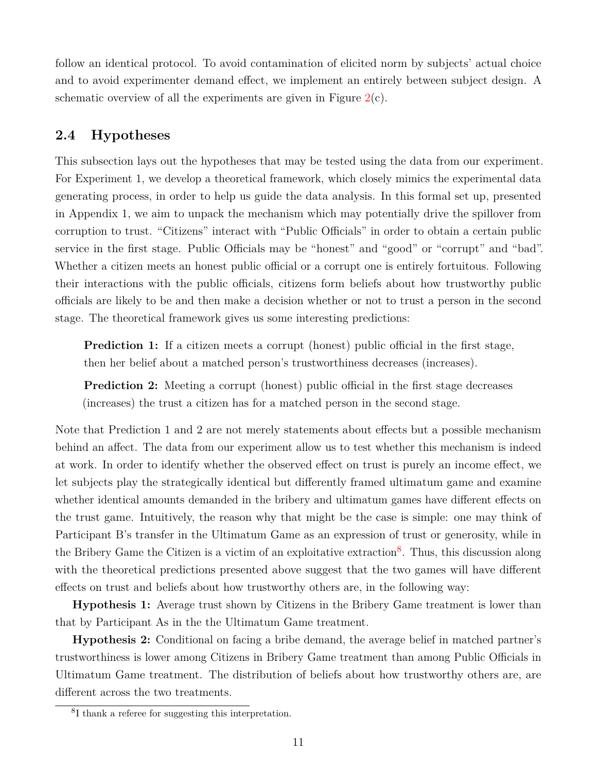follow an identical protocol. To avoid contamination of elicited norm by subjects' actual choice and to avoid experimenter demand effect, we implement an entirely between subject design. A schematic overview of all the experiments are given in Figure  $2(c)$  $2(c)$ .

## **2.4 Hypotheses**

This subsection lays out the hypotheses that may be tested using the data from our experiment. For Experiment 1, we develop a theoretical framework, which closely mimics the experimental data generating process, in order to help us guide the data analysis. In this formal set up, presented in Appendix 1, we aim to unpack the mechanism which may potentially drive the spillover from corruption to trust. "Citizens" interact with "Public Officials" in order to obtain a certain public service in the first stage. Public Officials may be "honest" and "good" or "corrupt" and "bad". Whether a citizen meets an honest public official or a corrupt one is entirely fortuitous. Following their interactions with the public officials, citizens form beliefs about how trustworthy public officials are likely to be and then make a decision whether or not to trust a person in the second stage. The theoretical framework gives us some interesting predictions:

**Prediction 1:** If a citizen meets a corrupt (honest) public official in the first stage, then her belief about a matched person's trustworthiness decreases (increases).

**Prediction 2:** Meeting a corrupt (honest) public official in the first stage decreases (increases) the trust a citizen has for a matched person in the second stage.

Note that Prediction 1 and 2 are not merely statements about effects but a possible mechanism behind an affect. The data from our experiment allow us to test whether this mechanism is indeed at work. In order to identify whether the observed effect on trust is purely an income effect, we let subjects play the strategically identical but differently framed ultimatum game and examine whether identical amounts demanded in the bribery and ultimatum games have different effects on the trust game. Intuitively, the reason why that might be the case is simple: one may think of Participant B's transfer in the Ultimatum Game as an expression of trust or generosity, while in the Bribery Game the Citizen is a victim of an exploitative extraction<sup>[8](#page--1-0)</sup>. Thus, this discussion along with the theoretical predictions presented above suggest that the two games will have different effects on trust and beliefs about how trustworthy others are, in the following way:

**Hypothesis 1:** Average trust shown by Citizens in the Bribery Game treatment is lower than that by Participant As in the the Ultimatum Game treatment.

**Hypothesis 2:** Conditional on facing a bribe demand, the average belief in matched partner's trustworthiness is lower among Citizens in Bribery Game treatment than among Public Officials in Ultimatum Game treatment. The distribution of beliefs about how trustworthy others are, are different across the two treatments.

<sup>8</sup> I thank a referee for suggesting this interpretation.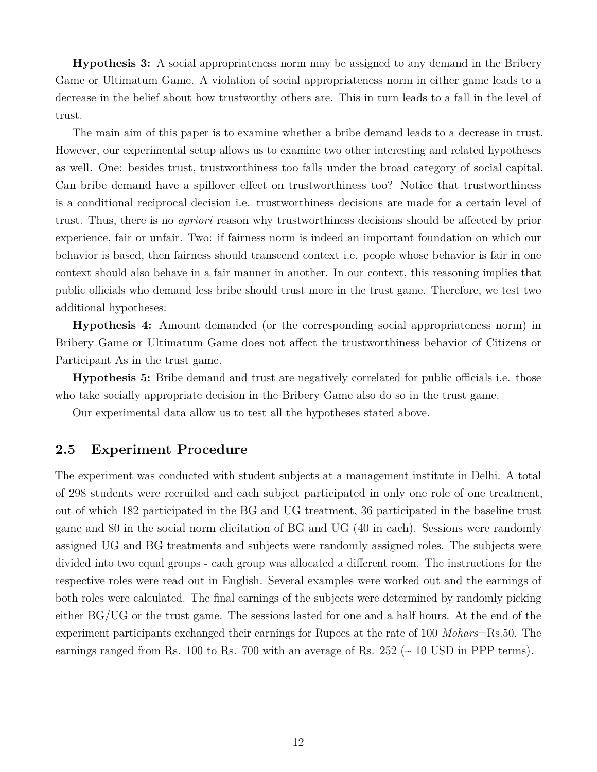**Hypothesis 3:** A social appropriateness norm may be assigned to any demand in the Bribery Game or Ultimatum Game. A violation of social appropriateness norm in either game leads to a decrease in the belief about how trustworthy others are. This in turn leads to a fall in the level of trust.

The main aim of this paper is to examine whether a bribe demand leads to a decrease in trust. However, our experimental setup allows us to examine two other interesting and related hypotheses as well. One: besides trust, trustworthiness too falls under the broad category of social capital. Can bribe demand have a spillover effect on trustworthiness too? Notice that trustworthiness is a conditional reciprocal decision i.e. trustworthiness decisions are made for a certain level of trust. Thus, there is no *apriori* reason why trustworthiness decisions should be affected by prior experience, fair or unfair. Two: if fairness norm is indeed an important foundation on which our behavior is based, then fairness should transcend context i.e. people whose behavior is fair in one context should also behave in a fair manner in another. In our context, this reasoning implies that public officials who demand less bribe should trust more in the trust game. Therefore, we test two additional hypotheses:

**Hypothesis 4:** Amount demanded (or the corresponding social appropriateness norm) in Bribery Game or Ultimatum Game does not affect the trustworthiness behavior of Citizens or Participant As in the trust game.

**Hypothesis 5:** Bribe demand and trust are negatively correlated for public officials i.e. those who take socially appropriate decision in the Bribery Game also do so in the trust game.

Our experimental data allow us to test all the hypotheses stated above.

### **2.5 Experiment Procedure**

The experiment was conducted with student subjects at a management institute in Delhi. A total of 298 students were recruited and each subject participated in only one role of one treatment, out of which 182 participated in the BG and UG treatment, 36 participated in the baseline trust game and 80 in the social norm elicitation of BG and UG (40 in each). Sessions were randomly assigned UG and BG treatments and subjects were randomly assigned roles. The subjects were divided into two equal groups - each group was allocated a different room. The instructions for the respective roles were read out in English. Several examples were worked out and the earnings of both roles were calculated. The final earnings of the subjects were determined by randomly picking either BG/UG or the trust game. The sessions lasted for one and a half hours. At the end of the experiment participants exchanged their earnings for Rupees at the rate of 100 *Mohars*=Rs.50. The earnings ranged from Rs. 100 to Rs. 700 with an average of Rs.  $252 \approx 10 \text{ USD}$  in PPP terms).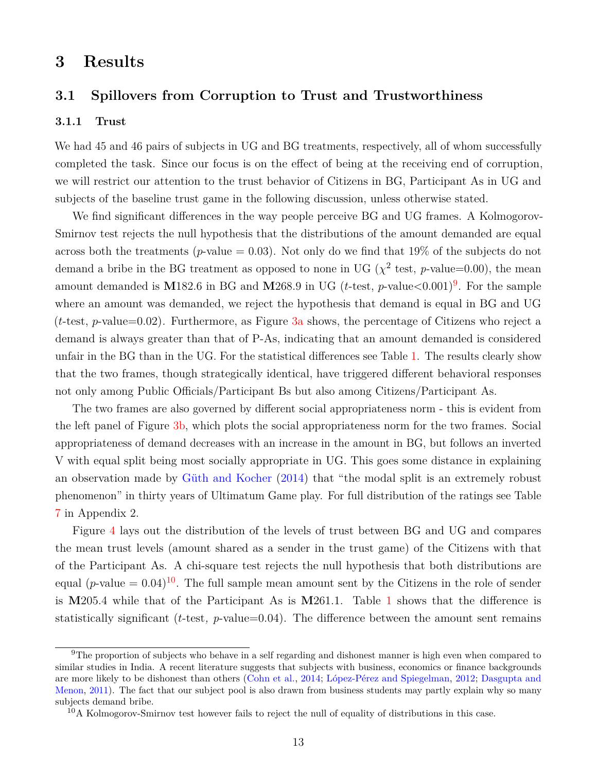# **3 Results**

### **3.1 Spillovers from Corruption to Trust and Trustworthiness**

### **3.1.1 Trust**

We had 45 and 46 pairs of subjects in UG and BG treatments, respectively, all of whom successfully completed the task. Since our focus is on the effect of being at the receiving end of corruption, we will restrict our attention to the trust behavior of Citizens in BG, Participant As in UG and subjects of the baseline trust game in the following discussion, unless otherwise stated.

We find significant differences in the way people perceive BG and UG frames. A Kolmogorov-Smirnov test rejects the null hypothesis that the distributions of the amount demanded are equal across both the treatments ( $p$ -value = 0.03). Not only do we find that 19% of the subjects do not demand a bribe in the BG treatment as opposed to none in UG ( $\chi^2$  test, *p*-value=0.00), the mean amount demanded is **M**182.6 in BG and **M**268.9 in UG (*t*-test, *p*-value<0.001)[9](#page--1-0) . For the sample where an amount was demanded, we reject the hypothesis that demand is equal in BG and UG (*t*-test, *p*-value=0.02)*.* Furthermore, as Figure [3a](#page-15-0) shows, the percentage of Citizens who reject a demand is always greater than that of P-As, indicating that an amount demanded is considered unfair in the BG than in the UG. For the statistical differences see Table [1.](#page-17-0) The results clearly show that the two frames, though strategically identical, have triggered different behavioral responses not only among Public Officials/Participant Bs but also among Citizens/Participant As.

The two frames are also governed by different social appropriateness norm - this is evident from the left panel of Figure [3b,](#page-15-1) which plots the social appropriateness norm for the two frames. Social appropriateness of demand decreases with an increase in the amount in BG, but follows an inverted V with equal split being most socially appropriate in UG. This goes some distance in explaining an observation made by [Güth and Kocher](#page-27-8) [\(2014\)](#page-27-8) that "the modal split is an extremely robust phenomenon" in thirty years of Ultimatum Game play. For full distribution of the ratings see Table [7](#page-37-0) in Appendix 2.

Figure [4](#page-16-0) lays out the distribution of the levels of trust between BG and UG and compares the mean trust levels (amount shared as a sender in the trust game) of the Citizens with that of the Participant As. A chi-square test rejects the null hypothesis that both distributions are equal ( $p$ -value =  $0.04$ )<sup>[10](#page--1-0)</sup>. The full sample mean amount sent by the Citizens in the role of sender is **M**205.4 while that of the Participant As is **M**261.1. Table [1](#page-17-0) shows that the difference is statistically significant (*t*-test*, p*-value=0.04). The difference between the amount sent remains

<sup>&</sup>lt;sup>9</sup>The proportion of subjects who behave in a self regarding and dishonest manner is high even when compared to similar studies in India. A recent literature suggests that subjects with business, economics or finance backgrounds are more likely to be dishonest than others [\(Cohn et al.,](#page-26-8) [2014;](#page-26-8) [López-Pérez and Spiegelman,](#page-27-9) [2012;](#page-27-9) [Dasgupta and](#page-26-9) [Menon,](#page-26-9) [2011\)](#page-26-9). The fact that our subject pool is also drawn from business students may partly explain why so many subjects demand bribe.

 $10A$  Kolmogorov-Smirnov test however fails to reject the null of equality of distributions in this case.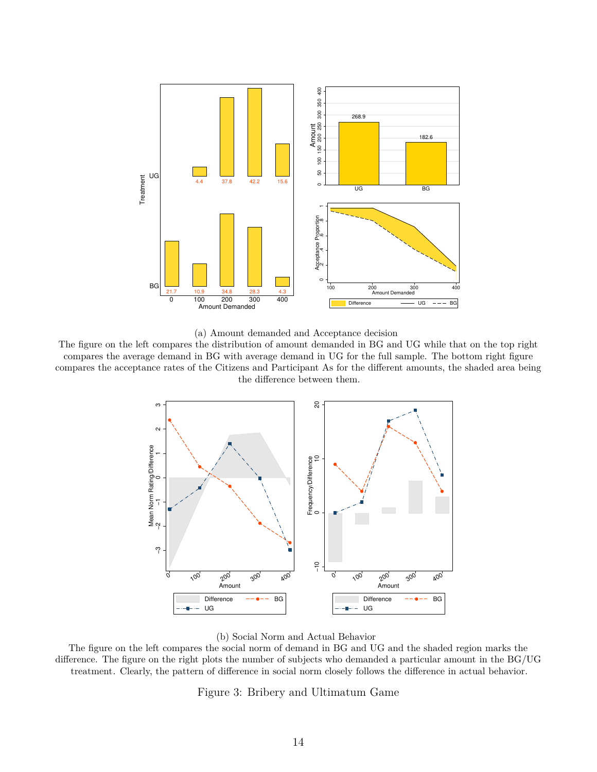<span id="page-15-0"></span>

(a) Amount demanded and Acceptance decision

<span id="page-15-1"></span>The figure on the left compares the distribution of amount demanded in BG and UG while that on the top right compares the average demand in BG with average demand in UG for the full sample. The bottom right figure compares the acceptance rates of the Citizens and Participant As for the different amounts, the shaded area being the difference between them.



### (b) Social Norm and Actual Behavior

The figure on the left compares the social norm of demand in BG and UG and the shaded region marks the difference. The figure on the right plots the number of subjects who demanded a particular amount in the BG/UG treatment*.* Clearly, the pattern of difference in social norm closely follows the difference in actual behavior.

Figure 3: Bribery and Ultimatum Game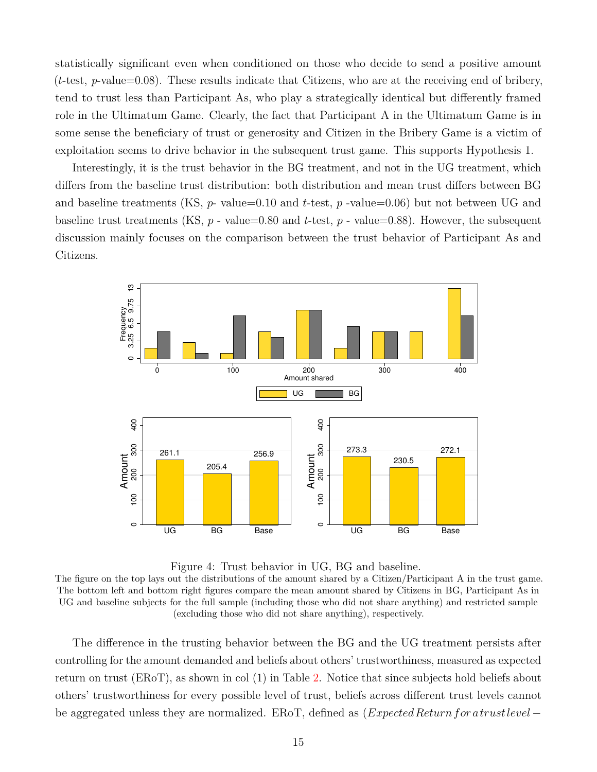statistically significant even when conditioned on those who decide to send a positive amount  $(t$ -test,  $p$ -value=0.08). These results indicate that Citizens, who are at the receiving end of bribery, tend to trust less than Participant As, who play a strategically identical but differently framed role in the Ultimatum Game. Clearly, the fact that Participant A in the Ultimatum Game is in some sense the beneficiary of trust or generosity and Citizen in the Bribery Game is a victim of exploitation seems to drive behavior in the subsequent trust game. This supports Hypothesis 1.

Interestingly, it is the trust behavior in the BG treatment, and not in the UG treatment, which differs from the baseline trust distribution: both distribution and mean trust differs between BG and baseline treatments (KS, *p*- value=0.10 and *t*-test, *p* -value=0.06) but not between UG and baseline trust treatments (KS, *p* - value=0.80 and *t*-test, *p* - value=0.88). However, the subsequent discussion mainly focuses on the comparison between the trust behavior of Participant As and Citizens.

<span id="page-16-0"></span>

Figure 4: Trust behavior in UG, BG and baseline.

The figure on the top lays out the distributions of the amount shared by a Citizen/Participant A in the trust game. The bottom left and bottom right figures compare the mean amount shared by Citizens in BG, Participant As in UG and baseline subjects for the full sample (including those who did not share anything) and restricted sample (excluding those who did not share anything), respectively.

The difference in the trusting behavior between the BG and the UG treatment persists after controlling for the amount demanded and beliefs about others' trustworthiness, measured as expected return on trust (ERoT), as shown in col (1) in Table [2.](#page-29-0) Notice that since subjects hold beliefs about others' trustworthiness for every possible level of trust, beliefs across different trust levels cannot be aggregated unless they are normalized. ERoT, defined as (*ExpectedReturnfor a trustlevel* −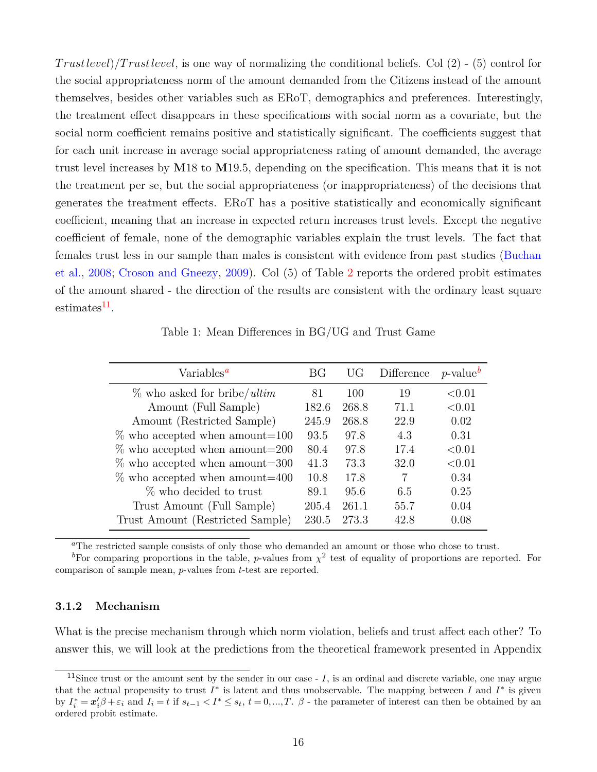*T rustlevel*)*/T rustlevel*, is one way of normalizing the conditional beliefs. Col (2) - (5) control for the social appropriateness norm of the amount demanded from the Citizens instead of the amount themselves, besides other variables such as ERoT, demographics and preferences. Interestingly, the treatment effect disappears in these specifications with social norm as a covariate, but the social norm coefficient remains positive and statistically significant. The coefficients suggest that for each unit increase in average social appropriateness rating of amount demanded, the average trust level increases by **M**18 to **M**19.5, depending on the specification. This means that it is not the treatment per se, but the social appropriateness (or inappropriateness) of the decisions that generates the treatment effects. ERoT has a positive statistically and economically significant coefficient, meaning that an increase in expected return increases trust levels. Except the negative coefficient of female, none of the demographic variables explain the trust levels. The fact that females trust less in our sample than males is consistent with evidence from past studies [\(Buchan](#page-25-11) [et al.,](#page-25-11) [2008;](#page-25-11) [Croson and Gneezy,](#page-26-10) [2009\)](#page-26-10). Col (5) of Table [2](#page-29-0) reports the ordered probit estimates of the amount shared - the direction of the results are consistent with the ordinary least square  $estimates<sup>11</sup>$  $estimates<sup>11</sup>$  $estimates<sup>11</sup>$ .

Table 1: Mean Differences in BG/UG and Trust Game

<span id="page-17-0"></span>

| Variables <sup><i>a</i></sup>     | ВG    | UG    | Difference | $p$ -value |
|-----------------------------------|-------|-------|------------|------------|
| $\%$ who asked for bribe/ultim    | 81    | 100   | 19         | < 0.01     |
| Amount (Full Sample)              | 182.6 | 268.8 | 71.1       | < 0.01     |
| Amount (Restricted Sample)        | 245.9 | 268.8 | 22.9       | 0.02       |
| $\%$ who accepted when amount=100 | 93.5  | 97.8  | 4.3        | 0.31       |
| $\%$ who accepted when amount=200 | 80.4  | 97.8  | 17.4       | < 0.01     |
| $\%$ who accepted when amount=300 | 41.3  | 73.3  | 32.0       | < 0.01     |
| $\%$ who accepted when amount=400 | 10.8  | 17.8  | 7          | 0.34       |
| % who decided to trust            | 89.1  | 95.6  | 6.5        | 0.25       |
| Trust Amount (Full Sample)        | 205.4 | 261.1 | 55.7       | 0.04       |
| Trust Amount (Restricted Sample)  | 230.5 | 273.3 | 42.8       | 0.08       |

<span id="page-17-2"></span><span id="page-17-1"></span><sup>a</sup>The restricted sample consists of only those who demanded an amount or those who chose to trust.

<sup>b</sup>For comparing proportions in the table, *p*-values from  $\chi^2$  test of equality of proportions are reported. For comparison of sample mean, *p*-values from *t*-test are reported.

### **3.1.2 Mechanism**

What is the precise mechanism through which norm violation, beliefs and trust affect each other? To answer this, we will look at the predictions from the theoretical framework presented in Appendix

<sup>&</sup>lt;sup>11</sup>Since trust or the amount sent by the sender in our case  $- I$ , is an ordinal and discrete variable, one may argue that the actual propensity to trust  $I^*$  is latent and thus unobservable. The mapping between  $I$  and  $I^*$  is given by  $I_i^* = x_i' \beta + \varepsilon_i$  and  $I_i = t$  if  $s_{t-1} < I^* \leq s_t$ ,  $t = 0, ..., T$ .  $\beta$  - the parameter of interest can then be obtained by an ordered probit estimate.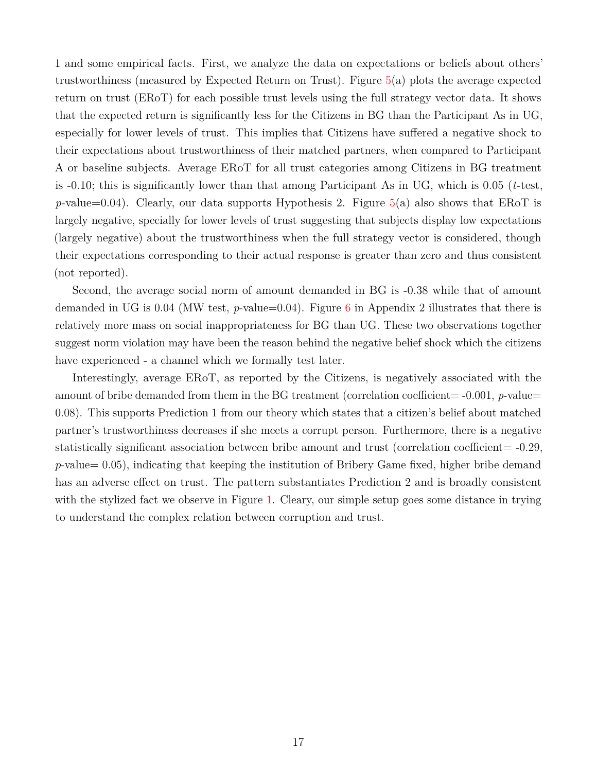1 and some empirical facts. First, we analyze the data on expectations or beliefs about others' trustworthiness (measured by Expected Return on Trust). Figure  $5(a)$  $5(a)$  plots the average expected return on trust (ERoT) for each possible trust levels using the full strategy vector data. It shows that the expected return is significantly less for the Citizens in BG than the Participant As in UG, especially for lower levels of trust. This implies that Citizens have suffered a negative shock to their expectations about trustworthiness of their matched partners, when compared to Participant A or baseline subjects. Average ERoT for all trust categories among Citizens in BG treatment is -0.10; this is significantly lower than that among Participant As in UG, which is 0.05 (*t*-test, *p*-value=0.04). Clearly, our data supports Hypothesis 2. Figure [5\(](#page-19-0)a) also shows that ERoT is largely negative, specially for lower levels of trust suggesting that subjects display low expectations (largely negative) about the trustworthiness when the full strategy vector is considered, though their expectations corresponding to their actual response is greater than zero and thus consistent (not reported).

Second, the average social norm of amount demanded in BG is -0.38 while that of amount demanded in UG is 0.04 (MW test, *p*-value=0.04). Figure [6](#page-36-0) in Appendix 2 illustrates that there is relatively more mass on social inappropriateness for BG than UG. These two observations together suggest norm violation may have been the reason behind the negative belief shock which the citizens have experienced - a channel which we formally test later.

Interestingly, average ERoT, as reported by the Citizens, is negatively associated with the amount of bribe demanded from them in the BG treatment (correlation coefficient= -0.001, *p*-value= 0.08). This supports Prediction 1 from our theory which states that a citizen's belief about matched partner's trustworthiness decreases if she meets a corrupt person. Furthermore, there is a negative statistically significant association between bribe amount and trust (correlation coefficient= -0.29, *p*-value= 0.05), indicating that keeping the institution of Bribery Game fixed, higher bribe demand has an adverse effect on trust. The pattern substantiates Prediction 2 and is broadly consistent with the stylized fact we observe in Figure [1.](#page-4-0) Cleary, our simple setup goes some distance in trying to understand the complex relation between corruption and trust.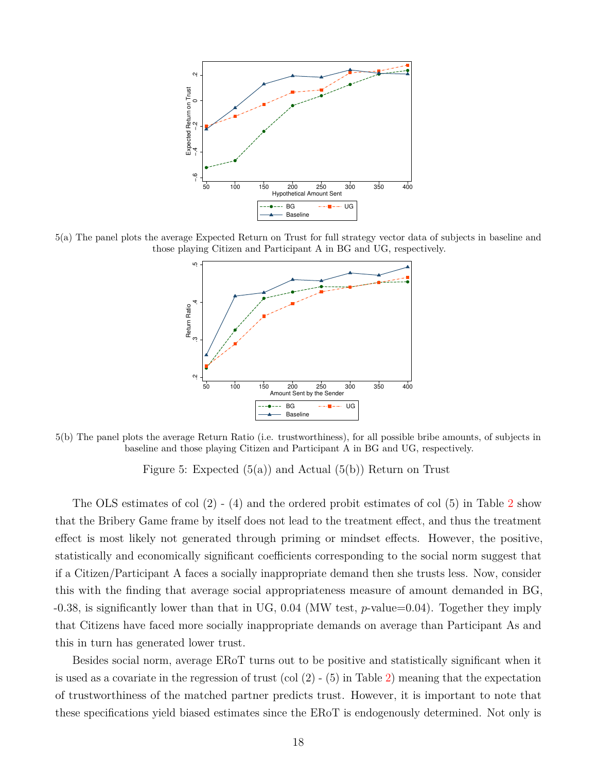<span id="page-19-0"></span>

5(a) The panel plots the average Expected Return on Trust for full strategy vector data of subjects in baseline and those playing Citizen and Participant A in BG and UG, respectively.



5(b) The panel plots the average Return Ratio (i.e. trustworthiness), for all possible bribe amounts, of subjects in baseline and those playing Citizen and Participant A in BG and UG, respectively.

Figure 5: Expected  $(5(a))$  and Actual  $(5(b))$  Return on Trust

The OLS estimates of col (2) - (4) and the ordered probit estimates of col (5) in Table [2](#page-29-0) show that the Bribery Game frame by itself does not lead to the treatment effect, and thus the treatment effect is most likely not generated through priming or mindset effects. However, the positive, statistically and economically significant coefficients corresponding to the social norm suggest that if a Citizen/Participant A faces a socially inappropriate demand then she trusts less. Now, consider this with the finding that average social appropriateness measure of amount demanded in BG, -0.38, is significantly lower than that in UG, 0.04 (MW test, *p*-value=0.04). Together they imply that Citizens have faced more socially inappropriate demands on average than Participant As and this in turn has generated lower trust.

Besides social norm, average ERoT turns out to be positive and statistically significant when it is used as a covariate in the regression of trust (col  $(2)$  $(2)$  -  $(5)$  in Table 2) meaning that the expectation of trustworthiness of the matched partner predicts trust. However, it is important to note that these specifications yield biased estimates since the ERoT is endogenously determined. Not only is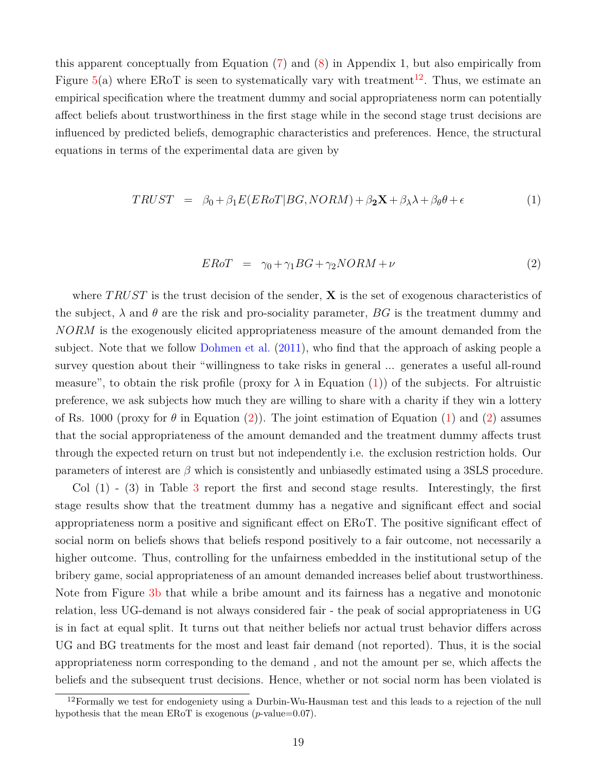this apparent conceptually from Equation [\(7\)](#page-34-0) and [\(8\)](#page-34-1) in Appendix 1, but also empirically from Figure  $5(a)$  $5(a)$  where ERoT is seen to systematically vary with treatment<sup>[12](#page--1-0)</sup>. Thus, we estimate an empirical specification where the treatment dummy and social appropriateness norm can potentially affect beliefs about trustworthiness in the first stage while in the second stage trust decisions are influenced by predicted beliefs, demographic characteristics and preferences. Hence, the structural equations in terms of the experimental data are given by

<span id="page-20-0"></span>
$$
TRUST = \beta_0 + \beta_1 E(ERoT|BG, NORM) + \beta_2 \mathbf{X} + \beta_\lambda \lambda + \beta_\theta \theta + \epsilon \tag{1}
$$

<span id="page-20-1"></span>
$$
ERoT = \gamma_0 + \gamma_1 BG + \gamma_2 NORM + \nu \tag{2}
$$

where *T RUST* is the trust decision of the sender, **X** is the set of exogenous characteristics of the subject,  $\lambda$  and  $\theta$  are the risk and pro-sociality parameter, BG is the treatment dummy and *NORM* is the exogenously elicited appropriateness measure of the amount demanded from the subject. Note that we follow [Dohmen et al.](#page-26-11) [\(2011\)](#page-26-11), who find that the approach of asking people a survey question about their "willingness to take risks in general ... generates a useful all-round measure", to obtain the risk profile (proxy for  $\lambda$  in Equation [\(1\)](#page-20-0)) of the subjects. For altruistic preference, we ask subjects how much they are willing to share with a charity if they win a lottery of Rs. 1000 (proxy for  $\theta$  in Equation [\(2\)](#page-20-1)). The joint estimation of Equation [\(1\)](#page-20-0) and (2) assumes that the social appropriateness of the amount demanded and the treatment dummy affects trust through the expected return on trust but not independently i.e. the exclusion restriction holds. Our parameters of interest are *β* which is consistently and unbiasedly estimated using a 3SLS procedure.

Col  $(1)$  -  $(3)$  $(3)$  $(3)$  in Table 3 report the first and second stage results. Interestingly, the first stage results show that the treatment dummy has a negative and significant effect and social appropriateness norm a positive and significant effect on ERoT. The positive significant effect of social norm on beliefs shows that beliefs respond positively to a fair outcome, not necessarily a higher outcome. Thus, controlling for the unfairness embedded in the institutional setup of the bribery game, social appropriateness of an amount demanded increases belief about trustworthiness. Note from Figure [3b](#page-15-1) that while a bribe amount and its fairness has a negative and monotonic relation, less UG-demand is not always considered fair - the peak of social appropriateness in UG is in fact at equal split. It turns out that neither beliefs nor actual trust behavior differs across UG and BG treatments for the most and least fair demand (not reported). Thus, it is the social appropriateness norm corresponding to the demand *,* and not the amount per se, which affects the beliefs and the subsequent trust decisions. Hence, whether or not social norm has been violated is

<sup>&</sup>lt;sup>12</sup>Formally we test for endogeniety using a Durbin-Wu-Hausman test and this leads to a rejection of the null hypothesis that the mean ERoT is exogenous (*p*-value=0.07).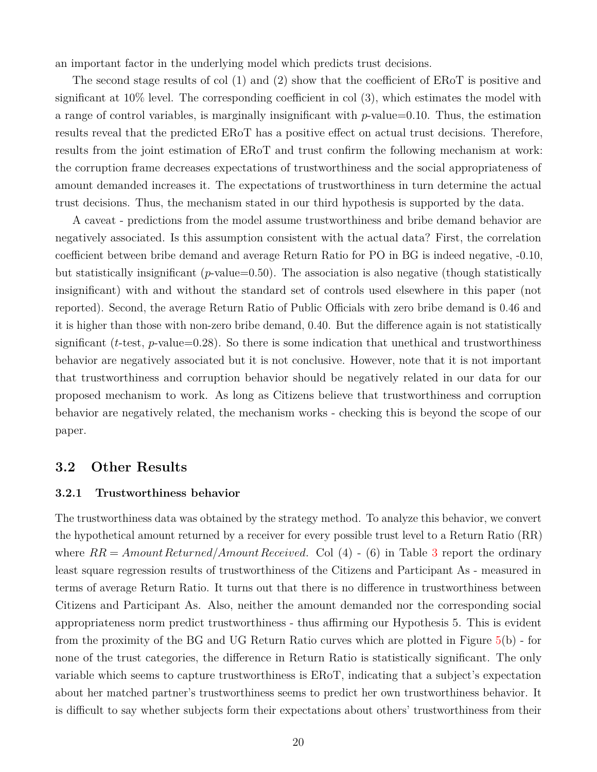an important factor in the underlying model which predicts trust decisions.

The second stage results of col (1) and (2) show that the coefficient of ERoT is positive and significant at 10% level. The corresponding coefficient in col (3), which estimates the model with a range of control variables, is marginally insignificant with *p*-value=0.10. Thus, the estimation results reveal that the predicted ERoT has a positive effect on actual trust decisions. Therefore, results from the joint estimation of ERoT and trust confirm the following mechanism at work: the corruption frame decreases expectations of trustworthiness and the social appropriateness of amount demanded increases it. The expectations of trustworthiness in turn determine the actual trust decisions. Thus, the mechanism stated in our third hypothesis is supported by the data.

A caveat - predictions from the model assume trustworthiness and bribe demand behavior are negatively associated. Is this assumption consistent with the actual data? First, the correlation coefficient between bribe demand and average Return Ratio for PO in BG is indeed negative, -0.10, but statistically insignificant ( $p$ -value=0.50). The association is also negative (though statistically insignificant) with and without the standard set of controls used elsewhere in this paper (not reported). Second, the average Return Ratio of Public Officials with zero bribe demand is 0.46 and it is higher than those with non-zero bribe demand, 0.40. But the difference again is not statistically significant ( $t$ -test,  $p$ -value=0.28). So there is some indication that unethical and trustworthiness behavior are negatively associated but it is not conclusive. However, note that it is not important that trustworthiness and corruption behavior should be negatively related in our data for our proposed mechanism to work. As long as Citizens believe that trustworthiness and corruption behavior are negatively related, the mechanism works - checking this is beyond the scope of our paper.

### **3.2 Other Results**

### **3.2.1 Trustworthiness behavior**

The trustworthiness data was obtained by the strategy method. To analyze this behavior, we convert the hypothetical amount returned by a receiver for every possible trust level to a Return Ratio (RR) where  $RR = Amount Returned/Amount RecentReceived.$  Col (4) - (6) in Table [3](#page-30-0) report the ordinary least square regression results of trustworthiness of the Citizens and Participant As - measured in terms of average Return Ratio. It turns out that there is no difference in trustworthiness between Citizens and Participant As. Also, neither the amount demanded nor the corresponding social appropriateness norm predict trustworthiness - thus affirming our Hypothesis 5. This is evident from the proximity of the BG and UG Return Ratio curves which are plotted in Figure [5\(](#page-19-0)b) - for none of the trust categories, the difference in Return Ratio is statistically significant. The only variable which seems to capture trustworthiness is ERoT, indicating that a subject's expectation about her matched partner's trustworthiness seems to predict her own trustworthiness behavior. It is difficult to say whether subjects form their expectations about others' trustworthiness from their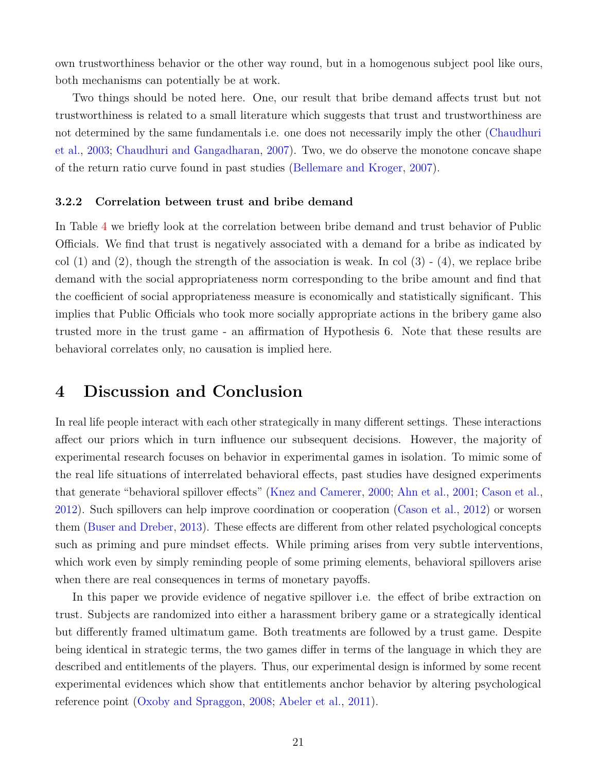own trustworthiness behavior or the other way round, but in a homogenous subject pool like ours, both mechanisms can potentially be at work.

Two things should be noted here. One, our result that bribe demand affects trust but not trustworthiness is related to a small literature which suggests that trust and trustworthiness are not determined by the same fundamentals i.e. one does not necessarily imply the other [\(Chaudhuri](#page-26-12) [et al.,](#page-26-12) [2003;](#page-26-12) [Chaudhuri and Gangadharan,](#page-26-13) [2007\)](#page-26-13). Two, we do observe the monotone concave shape of the return ratio curve found in past studies [\(Bellemare and Kroger,](#page-25-12) [2007\)](#page-25-12).

#### **3.2.2 Correlation between trust and bribe demand**

In Table [4](#page-31-0) we briefly look at the correlation between bribe demand and trust behavior of Public Officials. We find that trust is negatively associated with a demand for a bribe as indicated by col  $(1)$  and  $(2)$ , though the strength of the association is weak. In col  $(3)$  -  $(4)$ , we replace bribe demand with the social appropriateness norm corresponding to the bribe amount and find that the coefficient of social appropriateness measure is economically and statistically significant. This implies that Public Officials who took more socially appropriate actions in the bribery game also trusted more in the trust game - an affirmation of Hypothesis 6. Note that these results are behavioral correlates only, no causation is implied here.

# **4 Discussion and Conclusion**

In real life people interact with each other strategically in many different settings. These interactions affect our priors which in turn influence our subsequent decisions. However, the majority of experimental research focuses on behavior in experimental games in isolation. To mimic some of the real life situations of interrelated behavioral effects, past studies have designed experiments that generate "behavioral spillover effects" [\(Knez and Camerer,](#page-27-10) [2000;](#page-27-10) [Ahn et al.,](#page-24-3) [2001;](#page-24-3) [Cason et al.,](#page-26-2) [2012\)](#page-26-2). Such spillovers can help improve coordination or cooperation [\(Cason et al.,](#page-26-2) [2012\)](#page-26-2) or worsen them [\(Buser and Dreber,](#page-25-9) [2013\)](#page-25-9). These effects are different from other related psychological concepts such as priming and pure mindset effects. While priming arises from very subtle interventions, which work even by simply reminding people of some priming elements, behavioral spillovers arise when there are real consequences in terms of monetary payoffs.

In this paper we provide evidence of negative spillover i.e. the effect of bribe extraction on trust. Subjects are randomized into either a harassment bribery game or a strategically identical but differently framed ultimatum game. Both treatments are followed by a trust game. Despite being identical in strategic terms, the two games differ in terms of the language in which they are described and entitlements of the players. Thus, our experimental design is informed by some recent experimental evidences which show that entitlements anchor behavior by altering psychological reference point [\(Oxoby and Spraggon,](#page-28-11) [2008;](#page-28-11) [Abeler et al.,](#page-24-4) [2011\)](#page-24-4).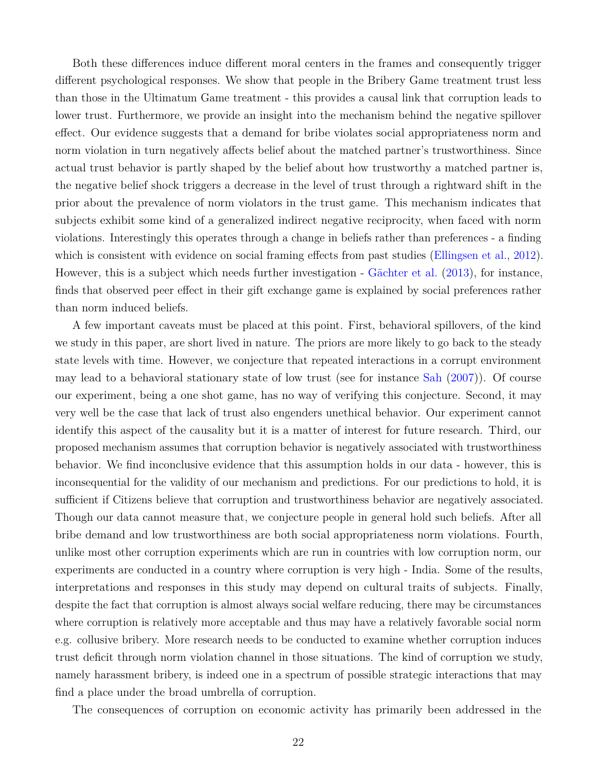Both these differences induce different moral centers in the frames and consequently trigger different psychological responses. We show that people in the Bribery Game treatment trust less than those in the Ultimatum Game treatment - this provides a causal link that corruption leads to lower trust. Furthermore, we provide an insight into the mechanism behind the negative spillover effect. Our evidence suggests that a demand for bribe violates social appropriateness norm and norm violation in turn negatively affects belief about the matched partner's trustworthiness. Since actual trust behavior is partly shaped by the belief about how trustworthy a matched partner is, the negative belief shock triggers a decrease in the level of trust through a rightward shift in the prior about the prevalence of norm violators in the trust game. This mechanism indicates that subjects exhibit some kind of a generalized indirect negative reciprocity, when faced with norm violations. Interestingly this operates through a change in beliefs rather than preferences - a finding which is consistent with evidence on social framing effects from past studies [\(Ellingsen et al.,](#page-27-11) [2012\)](#page-27-11). However, this is a subject which needs further investigation - [Gächter et al.](#page-27-12) [\(2013\)](#page-27-12), for instance, finds that observed peer effect in their gift exchange game is explained by social preferences rather than norm induced beliefs.

A few important caveats must be placed at this point. First, behavioral spillovers, of the kind we study in this paper, are short lived in nature. The priors are more likely to go back to the steady state levels with time. However, we conjecture that repeated interactions in a corrupt environment may lead to a behavioral stationary state of low trust (see for instance [Sah](#page-28-12) [\(2007\)](#page-28-12)). Of course our experiment, being a one shot game, has no way of verifying this conjecture. Second, it may very well be the case that lack of trust also engenders unethical behavior. Our experiment cannot identify this aspect of the causality but it is a matter of interest for future research. Third, our proposed mechanism assumes that corruption behavior is negatively associated with trustworthiness behavior. We find inconclusive evidence that this assumption holds in our data - however, this is inconsequential for the validity of our mechanism and predictions. For our predictions to hold, it is sufficient if Citizens believe that corruption and trustworthiness behavior are negatively associated. Though our data cannot measure that, we conjecture people in general hold such beliefs. After all bribe demand and low trustworthiness are both social appropriateness norm violations. Fourth, unlike most other corruption experiments which are run in countries with low corruption norm, our experiments are conducted in a country where corruption is very high - India. Some of the results, interpretations and responses in this study may depend on cultural traits of subjects. Finally, despite the fact that corruption is almost always social welfare reducing, there may be circumstances where corruption is relatively more acceptable and thus may have a relatively favorable social norm e.g. collusive bribery. More research needs to be conducted to examine whether corruption induces trust deficit through norm violation channel in those situations. The kind of corruption we study, namely harassment bribery, is indeed one in a spectrum of possible strategic interactions that may find a place under the broad umbrella of corruption.

The consequences of corruption on economic activity has primarily been addressed in the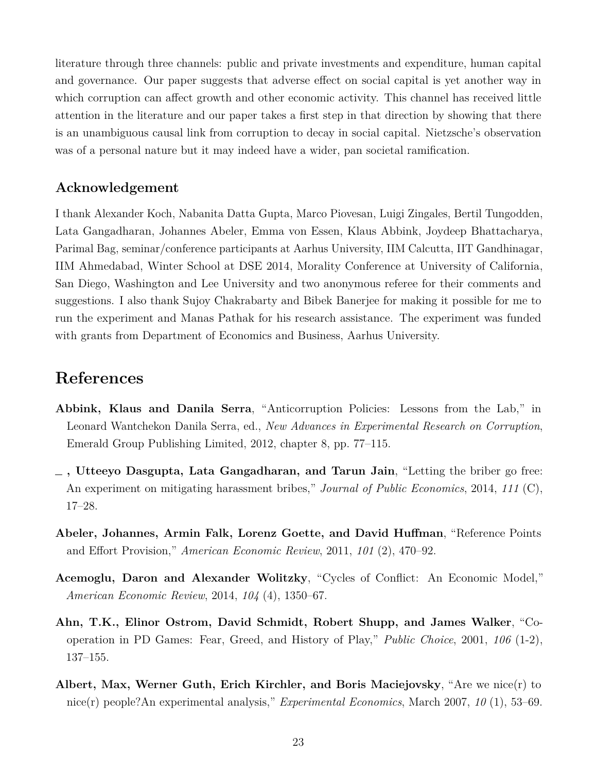literature through three channels: public and private investments and expenditure, human capital and governance. Our paper suggests that adverse effect on social capital is yet another way in which corruption can affect growth and other economic activity. This channel has received little attention in the literature and our paper takes a first step in that direction by showing that there is an unambiguous causal link from corruption to decay in social capital. Nietzsche's observation was of a personal nature but it may indeed have a wider, pan societal ramification.

### **Acknowledgement**

I thank Alexander Koch, Nabanita Datta Gupta, Marco Piovesan, Luigi Zingales, Bertil Tungodden, Lata Gangadharan, Johannes Abeler, Emma von Essen, Klaus Abbink, Joydeep Bhattacharya, Parimal Bag, seminar/conference participants at Aarhus University, IIM Calcutta, IIT Gandhinagar, IIM Ahmedabad, Winter School at DSE 2014, Morality Conference at University of California, San Diego, Washington and Lee University and two anonymous referee for their comments and suggestions. I also thank Sujoy Chakrabarty and Bibek Banerjee for making it possible for me to run the experiment and Manas Pathak for his research assistance. The experiment was funded with grants from Department of Economics and Business, Aarhus University.

# **References**

- <span id="page-24-0"></span>**Abbink, Klaus and Danila Serra**, "Anticorruption Policies: Lessons from the Lab," in Leonard Wantchekon Danila Serra, ed., *New Advances in Experimental Research on Corruption*, Emerald Group Publishing Limited, 2012, chapter 8, pp. 77–115.
- <span id="page-24-2"></span>**, Utteeyo Dasgupta, Lata Gangadharan, and Tarun Jain**, "Letting the briber go free: An experiment on mitigating harassment bribes," *Journal of Public Economics*, 2014, *111* (C), 17–28.
- <span id="page-24-4"></span>**Abeler, Johannes, Armin Falk, Lorenz Goette, and David Huffman**, "Reference Points and Effort Provision," *American Economic Review*, 2011, *101* (2), 470–92.
- <span id="page-24-5"></span>**Acemoglu, Daron and Alexander Wolitzky**, "Cycles of Conflict: An Economic Model," *American Economic Review*, 2014, *104* (4), 1350–67.
- <span id="page-24-3"></span>**Ahn, T.K., Elinor Ostrom, David Schmidt, Robert Shupp, and James Walker**, "Cooperation in PD Games: Fear, Greed, and History of Play," *Public Choice*, 2001, *106* (1-2), 137–155.
- <span id="page-24-1"></span>**Albert, Max, Werner Guth, Erich Kirchler, and Boris Maciejovsky**, "Are we nice(r) to nice(r) people?An experimental analysis," *Experimental Economics*, March 2007, *10* (1), 53–69.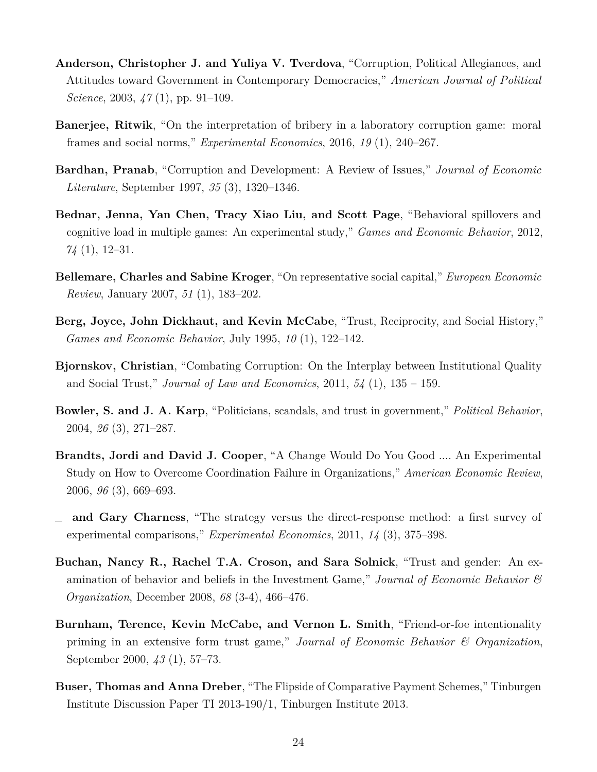- <span id="page-25-2"></span>**Anderson, Christopher J. and Yuliya V. Tverdova**, "Corruption, Political Allegiances, and Attitudes toward Government in Contemporary Democracies," *American Journal of Political Science*, 2003, *47* (1), pp. 91–109.
- <span id="page-25-4"></span>**Banerjee, Ritwik**, "On the interpretation of bribery in a laboratory corruption game: moral frames and social norms," *Experimental Economics*, 2016, *19* (1), 240–267.
- <span id="page-25-1"></span>**Bardhan, Pranab**, "Corruption and Development: A Review of Issues," *Journal of Economic Literature*, September 1997, *35* (3), 1320–1346.
- <span id="page-25-6"></span>**Bednar, Jenna, Yan Chen, Tracy Xiao Liu, and Scott Page**, "Behavioral spillovers and cognitive load in multiple games: An experimental study," *Games and Economic Behavior*, 2012, *74* (1), 12–31.
- <span id="page-25-12"></span>**Bellemare, Charles and Sabine Kroger**, "On representative social capital," *European Economic Review*, January 2007, *51* (1), 183–202.
- <span id="page-25-7"></span>**Berg, Joyce, John Dickhaut, and Kevin McCabe**, "Trust, Reciprocity, and Social History," *Games and Economic Behavior*, July 1995, *10* (1), 122–142.
- <span id="page-25-0"></span>**Bjornskov, Christian**, "Combating Corruption: On the Interplay between Institutional Quality and Social Trust," *Journal of Law and Economics*, 2011, *54* (1), 135 – 159.
- <span id="page-25-3"></span>**Bowler, S. and J. A. Karp**, "Politicians, scandals, and trust in government," *Political Behavior*, 2004, *26* (3), 271–287.
- <span id="page-25-5"></span>**Brandts, Jordi and David J. Cooper**, "A Change Would Do You Good .... An Experimental Study on How to Overcome Coordination Failure in Organizations," *American Economic Review*, 2006, *96* (3), 669–693.
- <span id="page-25-10"></span>**and Gary Charness**, "The strategy versus the direct-response method: a first survey of experimental comparisons," *Experimental Economics*, 2011, *14* (3), 375–398.
- <span id="page-25-11"></span>**Buchan, Nancy R., Rachel T.A. Croson, and Sara Solnick**, "Trust and gender: An examination of behavior and beliefs in the Investment Game," *Journal of Economic Behavior & Organization*, December 2008, *68* (3-4), 466–476.
- <span id="page-25-8"></span>**Burnham, Terence, Kevin McCabe, and Vernon L. Smith**, "Friend-or-foe intentionality priming in an extensive form trust game," *Journal of Economic Behavior & Organization*, September 2000, *43* (1), 57–73.
- <span id="page-25-9"></span>**Buser, Thomas and Anna Dreber**, "The Flipside of Comparative Payment Schemes," Tinburgen Institute Discussion Paper TI 2013-190/1, Tinburgen Institute 2013.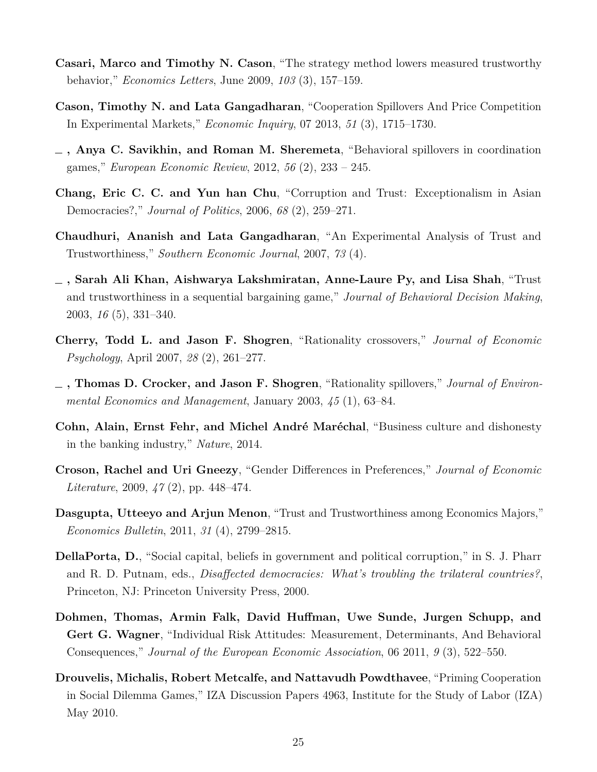- <span id="page-26-7"></span>**Casari, Marco and Timothy N. Cason**, "The strategy method lowers measured trustworthy behavior," *Economics Letters*, June 2009, *103* (3), 157–159.
- <span id="page-26-3"></span>**Cason, Timothy N. and Lata Gangadharan**, "Cooperation Spillovers And Price Competition In Experimental Markets," *Economic Inquiry*, 07 2013, *51* (3), 1715–1730.
- <span id="page-26-2"></span>**, Anya C. Savikhin, and Roman M. Sheremeta**, "Behavioral spillovers in coordination games," *European Economic Review*, 2012, *56* (2), 233 – 245.
- <span id="page-26-0"></span>**Chang, Eric C. C. and Yun han Chu**, "Corruption and Trust: Exceptionalism in Asian Democracies?," *Journal of Politics*, 2006, *68* (2), 259–271.
- <span id="page-26-13"></span>**Chaudhuri, Ananish and Lata Gangadharan**, "An Experimental Analysis of Trust and Trustworthiness," *Southern Economic Journal*, 2007, *73* (4).
- <span id="page-26-12"></span>**, Sarah Ali Khan, Aishwarya Lakshmiratan, Anne-Laure Py, and Lisa Shah**, "Trust and trustworthiness in a sequential bargaining game," *Journal of Behavioral Decision Making*, 2003, *16* (5), 331–340.
- <span id="page-26-5"></span>**Cherry, Todd L. and Jason F. Shogren**, "Rationality crossovers," *Journal of Economic Psychology*, April 2007, *28* (2), 261–277.
- <span id="page-26-4"></span>**, Thomas D. Crocker, and Jason F. Shogren**, "Rationality spillovers," *Journal of Environmental Economics and Management*, January 2003, *45* (1), 63–84.
- <span id="page-26-8"></span>**Cohn, Alain, Ernst Fehr, and Michel André Maréchal**, "Business culture and dishonesty in the banking industry," *Nature*, 2014.
- <span id="page-26-10"></span>**Croson, Rachel and Uri Gneezy**, "Gender Differences in Preferences," *Journal of Economic Literature*, 2009, *47* (2), pp. 448–474.
- <span id="page-26-9"></span>**Dasgupta, Utteeyo and Arjun Menon**, "Trust and Trustworthiness among Economics Majors," *Economics Bulletin*, 2011, *31* (4), 2799–2815.
- <span id="page-26-1"></span>**DellaPorta, D.**, "Social capital, beliefs in government and political corruption," in S. J. Pharr and R. D. Putnam, eds., *Disaffected democracies: What's troubling the trilateral countries?*, Princeton, NJ: Princeton University Press, 2000.
- <span id="page-26-11"></span>**Dohmen, Thomas, Armin Falk, David Huffman, Uwe Sunde, Jurgen Schupp, and Gert G. Wagner**, "Individual Risk Attitudes: Measurement, Determinants, And Behavioral Consequences," *Journal of the European Economic Association*, 06 2011, *9* (3), 522–550.
- <span id="page-26-6"></span>**Drouvelis, Michalis, Robert Metcalfe, and Nattavudh Powdthavee**, "Priming Cooperation in Social Dilemma Games," IZA Discussion Papers 4963, Institute for the Study of Labor (IZA) May 2010.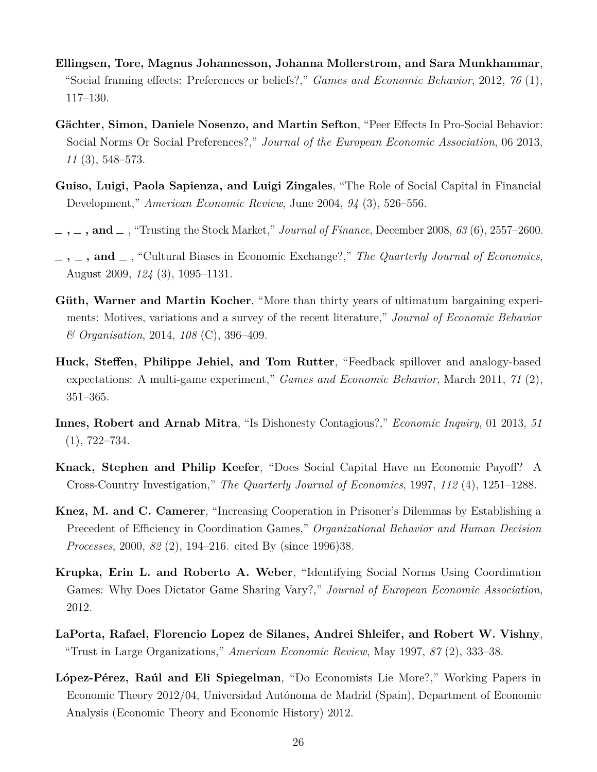- <span id="page-27-11"></span>**Ellingsen, Tore, Magnus Johannesson, Johanna Mollerstrom, and Sara Munkhammar**, "Social framing effects: Preferences or beliefs?," *Games and Economic Behavior*, 2012, *76* (1), 117–130.
- <span id="page-27-12"></span>**Gächter, Simon, Daniele Nosenzo, and Martin Sefton**, "Peer Effects In Pro-Social Behavior: Social Norms Or Social Preferences?," *Journal of the European Economic Association*, 06 2013, *11* (3), 548–573.
- <span id="page-27-1"></span>**Guiso, Luigi, Paola Sapienza, and Luigi Zingales**, "The Role of Social Capital in Financial Development," *American Economic Review*, June 2004, *94* (3), 526–556.
- <span id="page-27-2"></span>**, , and** , "Trusting the Stock Market," *Journal of Finance*, December 2008, *63* (6), 2557–2600.
- <span id="page-27-3"></span> $\mathbf{I}_1$ , **and**  $\mathbf{I}_2$ , "Cultural Biases in Economic Exchange?," *The Quarterly Journal of Economics*, August 2009, *124* (3), 1095–1131.
- <span id="page-27-8"></span>**Güth, Warner and Martin Kocher**, "More than thirty years of ultimatum bargaining experiments: Motives, variations and a survey of the recent literature," *Journal of Economic Behavior & Organisation*, 2014, *108* (C), 396–409.
- <span id="page-27-6"></span>**Huck, Steffen, Philippe Jehiel, and Tom Rutter**, "Feedback spillover and analogy-based expectations: A multi-game experiment," *Games and Economic Behavior*, March 2011, *71* (2), 351–365.
- <span id="page-27-5"></span>**Innes, Robert and Arnab Mitra**, "Is Dishonesty Contagious?," *Economic Inquiry*, 01 2013, *51* (1), 722–734.
- <span id="page-27-0"></span>**Knack, Stephen and Philip Keefer**, "Does Social Capital Have an Economic Payoff? A Cross-Country Investigation," *The Quarterly Journal of Economics*, 1997, *112* (4), 1251–1288.
- <span id="page-27-10"></span>**Knez, M. and C. Camerer**, "Increasing Cooperation in Prisoner's Dilemmas by Establishing a Precedent of Efficiency in Coordination Games," *Organizational Behavior and Human Decision Processes*, 2000, *82* (2), 194–216. cited By (since 1996)38.
- <span id="page-27-7"></span>**Krupka, Erin L. and Roberto A. Weber**, "Identifying Social Norms Using Coordination Games: Why Does Dictator Game Sharing Vary?," *Journal of European Economic Association*, 2012.
- <span id="page-27-4"></span>**LaPorta, Rafael, Florencio Lopez de Silanes, Andrei Shleifer, and Robert W. Vishny**, "Trust in Large Organizations," *American Economic Review*, May 1997, *87* (2), 333–38.
- <span id="page-27-9"></span>**López-Pérez, Raúl and Eli Spiegelman**, "Do Economists Lie More?," Working Papers in Economic Theory 2012/04, Universidad Autónoma de Madrid (Spain), Department of Economic Analysis (Economic Theory and Economic History) 2012.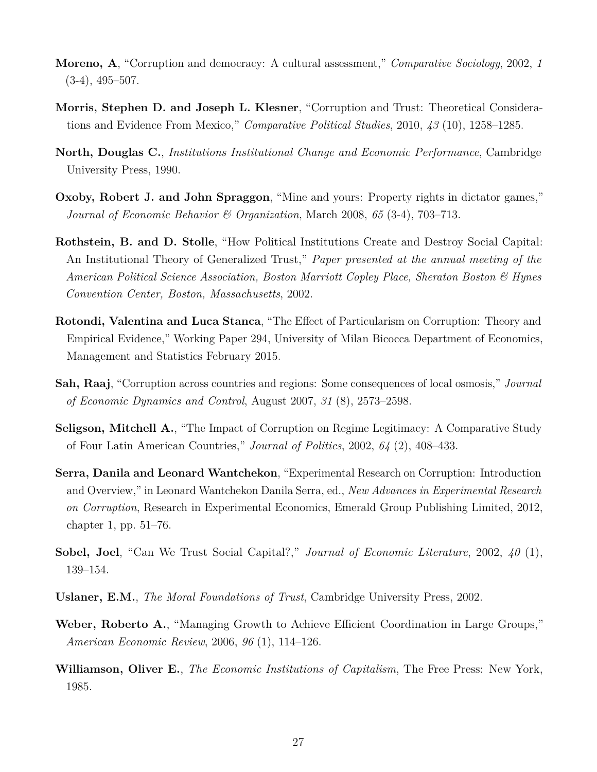- <span id="page-28-4"></span>**Moreno, A**, "Corruption and democracy: A cultural assessment," *Comparative Sociology*, 2002, *1* (3-4), 495–507.
- <span id="page-28-8"></span>**Morris, Stephen D. and Joseph L. Klesner**, "Corruption and Trust: Theoretical Considerations and Evidence From Mexico," *Comparative Political Studies*, 2010, *43* (10), 1258–1285.
- <span id="page-28-0"></span>**North, Douglas C.**, *Institutions Institutional Change and Economic Performance*, Cambridge University Press, 1990.
- <span id="page-28-11"></span>**Oxoby, Robert J. and John Spraggon**, "Mine and yours: Property rights in dictator games," *Journal of Economic Behavior & Organization*, March 2008, *65* (3-4), 703–713.
- <span id="page-28-6"></span>**Rothstein, B. and D. Stolle**, "How Political Institutions Create and Destroy Social Capital: An Institutional Theory of Generalized Trust," *Paper presented at the annual meeting of the American Political Science Association, Boston Marriott Copley Place, Sheraton Boston & Hynes Convention Center, Boston, Massachusetts*, 2002.
- <span id="page-28-5"></span>**Rotondi, Valentina and Luca Stanca**, "The Effect of Particularism on Corruption: Theory and Empirical Evidence," Working Paper 294, University of Milan Bicocca Department of Economics, Management and Statistics February 2015.
- <span id="page-28-12"></span>**Sah, Raaj**, "Corruption across countries and regions: Some consequences of local osmosis," *Journal of Economic Dynamics and Control*, August 2007, *31* (8), 2573–2598.
- <span id="page-28-3"></span>**Seligson, Mitchell A.**, "The Impact of Corruption on Regime Legitimacy: A Comparative Study of Four Latin American Countries," *Journal of Politics*, 2002, *64* (2), 408–433.
- <span id="page-28-9"></span>**Serra, Danila and Leonard Wantchekon**, "Experimental Research on Corruption: Introduction and Overview," in Leonard Wantchekon Danila Serra, ed., *New Advances in Experimental Research on Corruption*, Research in Experimental Economics, Emerald Group Publishing Limited, 2012, chapter 1, pp. 51–76.
- <span id="page-28-2"></span>**Sobel, Joel**, "Can We Trust Social Capital?," *Journal of Economic Literature*, 2002, *40* (1), 139–154.
- <span id="page-28-7"></span>**Uslaner, E.M.**, *The Moral Foundations of Trust*, Cambridge University Press, 2002.
- <span id="page-28-10"></span>**Weber, Roberto A.**, "Managing Growth to Achieve Efficient Coordination in Large Groups," *American Economic Review*, 2006, *96* (1), 114–126.
- <span id="page-28-1"></span>**Williamson, Oliver E.**, *The Economic Institutions of Capitalism*, The Free Press: New York, 1985.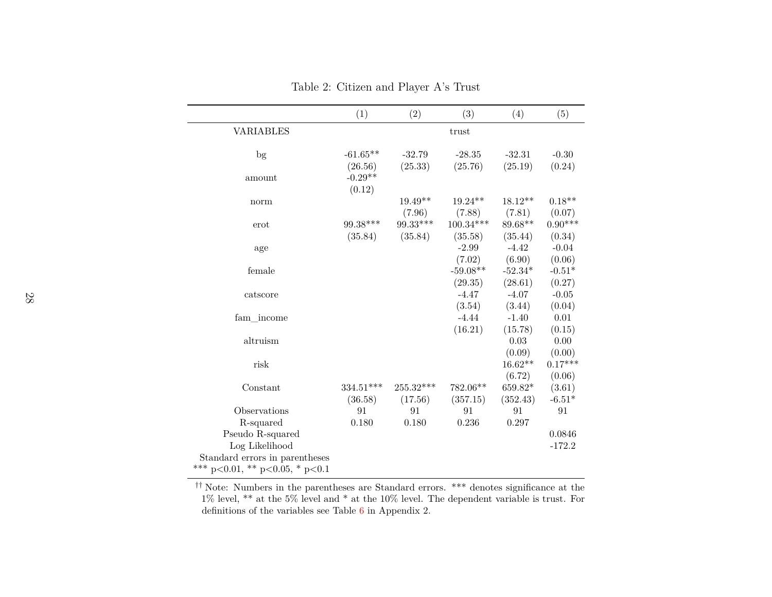|                                                                  | (1)                    | (2)                    | (3)                    | (4)                  | (5)                 |
|------------------------------------------------------------------|------------------------|------------------------|------------------------|----------------------|---------------------|
| <b>VARIABLES</b>                                                 |                        |                        | trust                  |                      |                     |
| bg                                                               | $-61.65**$<br>(26.56)  | $-32.79$<br>(25.33)    | $-28.35$<br>(25.76)    | $-32.31$<br>(25.19)  | $-0.30$<br>(0.24)   |
| amount                                                           | $-0.29**$<br>(0.12)    |                        |                        |                      |                     |
| norm                                                             |                        | $19.49**$<br>(7.96)    | $19.24**$<br>(7.88)    | $18.12**$<br>(7.81)  | $0.18**$<br>(0.07)  |
| erot                                                             | 99.38***<br>(35.84)    | 99.33***<br>(35.84)    | $100.34***$<br>(35.58) | 89.68**<br>(35.44)   | $0.90***$<br>(0.34) |
| age                                                              |                        |                        | $-2.99$<br>(7.02)      | $-4.42$<br>(6.90)    | $-0.04$<br>(0.06)   |
| female                                                           |                        |                        | $-59.08**$<br>(29.35)  | $-52.34*$<br>(28.61) | $-0.51*$<br>(0.27)  |
| catscore                                                         |                        |                        | $-4.47$<br>(3.54)      | $-4.07$<br>(3.44)    | $-0.05$<br>(0.04)   |
| fam income                                                       |                        |                        | $-4.44$<br>(16.21)     | $-1.40$<br>(15.78)   | $0.01\,$<br>(0.15)  |
| altruism                                                         |                        |                        |                        | 0.03<br>(0.09)       | 0.00<br>(0.00)      |
| risk                                                             |                        |                        |                        | $16.62**$<br>(6.72)  | $0.17***$<br>(0.06) |
| Constant                                                         | $334.51***$<br>(36.58) | $255.32***$<br>(17.56) | 782.06**<br>(357.15)   | 659.82*<br>(352.43)  | (3.61)<br>$-6.51*$  |
| Observations<br>R-squared                                        | 91<br>0.180            | 91<br>0.180            | 91<br>0.236            | 91<br>0.297          | 91                  |
| Pseudo R-squared                                                 |                        |                        |                        |                      | 0.0846              |
| Log Likelihood                                                   |                        |                        |                        |                      | $-172.2$            |
| Standard errors in parentheses<br>*** p<0.01, ** p<0.05, * p<0.1 |                        |                        |                        |                      |                     |

Table 2: Citizen and Player A's Trust

<span id="page-29-0"></span><sup>††</sup> Note: Numbers in the parentheses are Standard errors. \*\*\* denotes significance at the 1% level, \*\* at the 5% level and \* at the 10% level. The dependent variable is trust. Fordefinitions of the variables see Table [6](#page-35-0) in Appendix 2.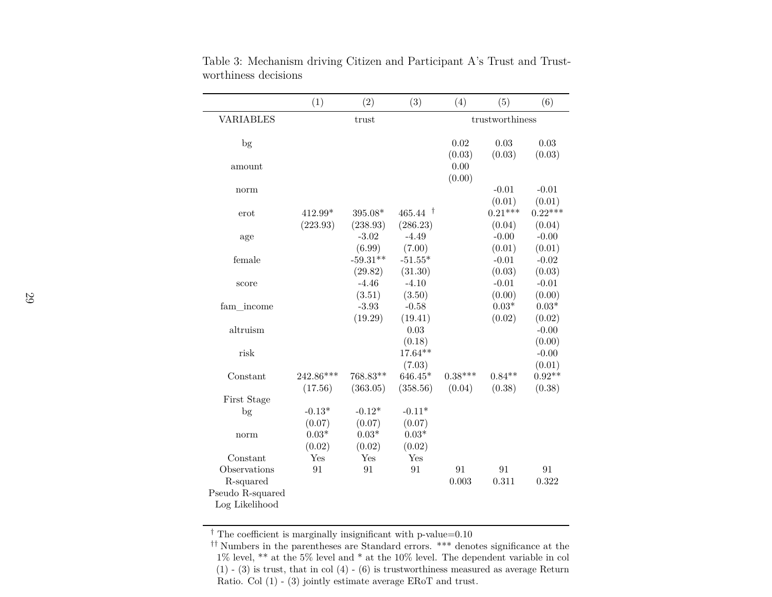|                  | (1)       | (2)               | (3)                   | (4)            | (5)               | (6)               |
|------------------|-----------|-------------------|-----------------------|----------------|-------------------|-------------------|
| <b>VARIABLES</b> |           | trust             |                       |                | trustworthiness   |                   |
| bg               |           |                   |                       | 0.02           | 0.03              | 0.03              |
|                  |           |                   |                       | (0.03)         | (0.03)            | (0.03)            |
| amount           |           |                   |                       | 0.00<br>(0.00) |                   |                   |
| norm             |           |                   |                       |                | $-0.01$           | $-0.01$           |
|                  |           |                   |                       |                | (0.01)            | (0.01)            |
| erot             | 412.99*   | $395.08*$         | $465.44$ <sup>†</sup> |                | $0.21***$         | $0.22***$         |
|                  | (223.93)  | (238.93)          | (286.23)              |                | (0.04)            | (0.04)            |
| age              |           | $-3.02$<br>(6.99) | $-4.49$<br>(7.00)     |                | $-0.00$<br>(0.01) | $-0.00$<br>(0.01) |
| female           |           | $-59.31**$        | $-51.55*$             |                | $-0.01$           | $-0.02$           |
|                  |           | (29.82)           | (31.30)               |                | (0.03)            | (0.03)            |
| score            |           | $-4.46$           | $-4.10$               |                | $-0.01$           | $-0.01$           |
|                  |           | (3.51)            | (3.50)                |                | (0.00)            | (0.00)            |
| fam income       |           | $-3.93$           | $-0.58$               |                | $0.03*$           | $0.03*$           |
|                  |           | (19.29)           | (19.41)               |                | (0.02)            | (0.02)            |
| altruism         |           |                   | 0.03                  |                |                   | $-0.00$           |
|                  |           |                   | (0.18)                |                |                   | (0.00)            |
| risk             |           |                   | $17.64**$             |                |                   | $-0.00$           |
|                  |           |                   | (7.03)                |                |                   | (0.01)            |
| Constant         | 242.86*** | 768.83**          | 646.45*               | $0.38***$      | $0.84**$          | $0.92**$          |
|                  | (17.56)   | (363.05)          | (358.56)              | (0.04)         | (0.38)            | (0.38)            |
| First Stage      |           |                   |                       |                |                   |                   |
| $\frac{1}{2}$    | $-0.13*$  | $-0.12*$          | $-0.11*$              |                |                   |                   |
|                  | (0.07)    | (0.07)            | (0.07)                |                |                   |                   |
| norm             | $0.03*$   | $0.03*$           | $0.03*$               |                |                   |                   |
|                  | (0.02)    | (0.02)            | (0.02)                |                |                   |                   |
| Constant         | Yes       | Yes               | Yes                   |                |                   |                   |
| Observations     | 91        | 91                | 91                    | 91             | 91                | 91                |
| R-squared        |           |                   |                       | 0.003          | 0.311             | 0.322             |
| Pseudo R-squared |           |                   |                       |                |                   |                   |
| Log Likelihood   |           |                   |                       |                |                   |                   |

<span id="page-30-1"></span>Table 3: Mechanism driving Citizen and Participant A's Trust and Trustworthiness decisions

<sup>†</sup> The coefficient is marginally insignificant with p-value=0.10

<span id="page-30-0"></span> †† Numbers in the parentheses are Standard errors. \*\*\* denotes significance at the 1% level, \*\* at the 5% level and \* at the 10% level. The dependent variable in col $(1)$  -  $(3)$  is trust, that in col  $(4)$  -  $(6)$  is trustworthiness measured as average Return Ratio. Col (1) - (3) jointly estimate average ERoT and trust.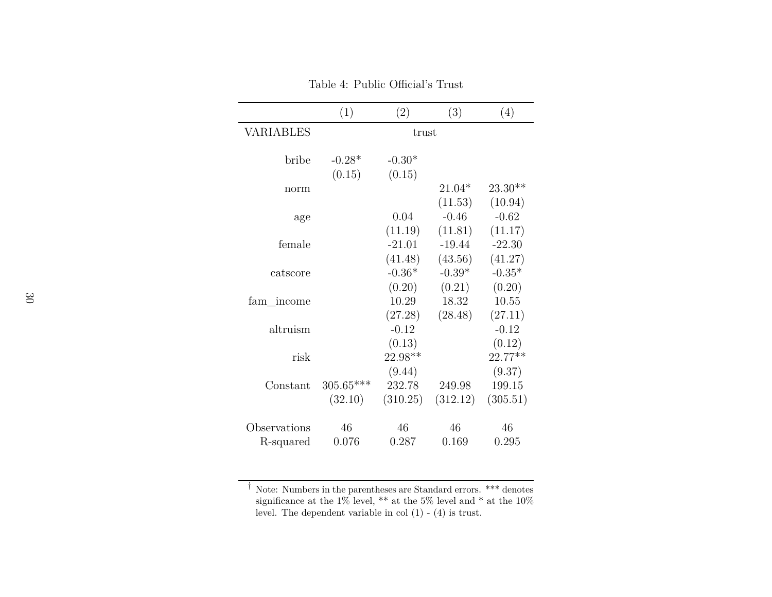|                  | (1)         | (2)      | (3)      | (4)       |
|------------------|-------------|----------|----------|-----------|
| <b>VARIABLES</b> |             | trust    |          |           |
|                  |             |          |          |           |
| bribe            | $-0.28*$    | $-0.30*$ |          |           |
|                  | (0.15)      | (0.15)   |          |           |
| norm             |             |          | $21.04*$ | $23.30**$ |
|                  |             |          | (11.53)  | (10.94)   |
| age              |             | 0.04     | $-0.46$  | $-0.62$   |
|                  |             | (11.19)  | (11.81)  | (11.17)   |
| female           |             | $-21.01$ | $-19.44$ | $-22.30$  |
|                  |             | (41.48)  | (43.56)  | (41.27)   |
| catscore         |             | $-0.36*$ | $-0.39*$ | $-0.35*$  |
|                  |             | (0.20)   | (0.21)   | (0.20)    |
| fam_income       |             | 10.29    | 18.32    | 10.55     |
|                  |             | (27.28)  | (28.48)  | (27.11)   |
| altruism         |             | $-0.12$  |          | $-0.12$   |
|                  |             | (0.13)   |          | (0.12)    |
| risk             |             | 22.98**  |          | $22.77**$ |
|                  |             | (9.44)   |          | (9.37)    |
| Constant         | $305.65***$ | 232.78   | 249.98   | 199.15    |
|                  | (32.10)     | (310.25) | (312.12) | (305.51)  |
| Observations     | 46          | 46       | 46       | 46        |
| R-squared        | 0.076       | 0.287    | 0.169    | 0.295     |

Table 4: Public Official's Trust

<span id="page-31-0"></span><sup>&</sup>lt;sup>†</sup> Note: Numbers in the parentheses are Standard errors. \*\*\* denotes significance at the 1% level, \*\* at the 5% level and \* at the 10% level. The dependent variable in col (1) - (4) is trust.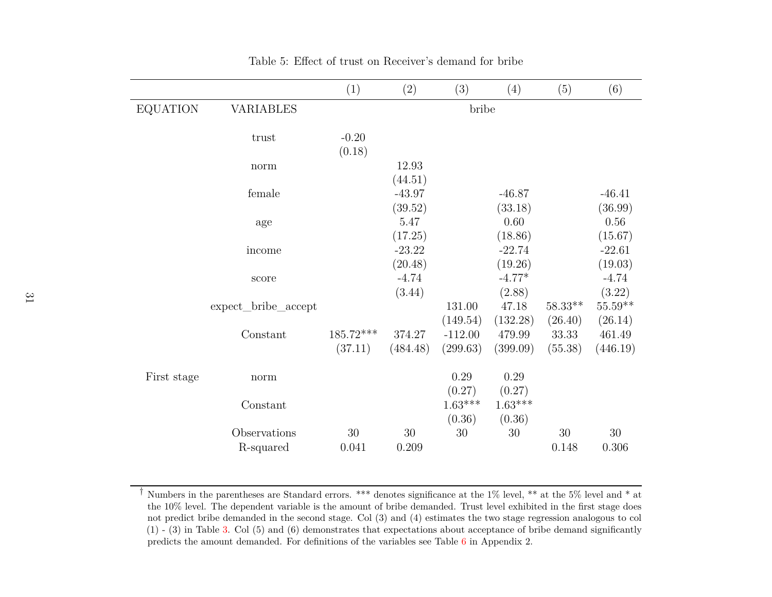|                 |                           | (1)                    | (2)                 | (3)                   | (4)                 | (5)                  | (6)                  |
|-----------------|---------------------------|------------------------|---------------------|-----------------------|---------------------|----------------------|----------------------|
| <b>EQUATION</b> | <b>VARIABLES</b>          |                        |                     | bribe                 |                     |                      |                      |
|                 | trust                     | $-0.20$<br>(0.18)      |                     |                       |                     |                      |                      |
|                 | norm                      |                        | 12.93<br>(44.51)    |                       |                     |                      |                      |
|                 | female                    |                        | $-43.97$<br>(39.52) |                       | $-46.87$<br>(33.18) |                      | $-46.41$<br>(36.99)  |
|                 | age                       |                        | 5.47<br>(17.25)     |                       | 0.60<br>(18.86)     |                      | 0.56<br>(15.67)      |
|                 | income                    |                        | $-23.22$<br>(20.48) |                       | $-22.74$<br>(19.26) |                      | $-22.61$<br>(19.03)  |
|                 | score                     |                        | $-4.74$<br>(3.44)   |                       | $-4.77*$<br>(2.88)  |                      | $-4.74$<br>(3.22)    |
|                 | expect_bribe_accept       |                        |                     | 131.00<br>(149.54)    | 47.18<br>(132.28)   | $58.33**$<br>(26.40) | $55.59**$<br>(26.14) |
|                 | Constant                  | $185.72***$<br>(37.11) | 374.27<br>(484.48)  | $-112.00$<br>(299.63) | 479.99<br>(399.09)  | 33.33<br>(55.38)     | 461.49<br>(446.19)   |
| First stage     | norm                      |                        |                     | 0.29                  | 0.29                |                      |                      |
|                 | Constant                  |                        |                     | (0.27)<br>$1.63***$   | (0.27)<br>$1.63***$ |                      |                      |
|                 | Observations<br>R-squared | $30\,$<br>0.041        | $30\,$<br>0.209     | (0.36)<br>$30\,$      | (0.36)<br>30        | 30<br>0.148          | 30<br>0.306          |

Table 5: Effect of trust on Receiver's demand for bribe

† Numbers in the parentheses are Standard errors. \*\*\* denotes significance at the 1% level, \*\* at the 5% level and \* at the 10% level. The dependent variable is the amount of bribe demanded. Trust level exhibited in the first stage does not predict bribe demanded in the second stage. Col (3) and (4) estimates the two stage regression analogous to col $(1)$  -  $(3)$  in Table [3.](#page-30-1) Col  $(5)$  and  $(6)$  demonstrates that expectations about acceptance of bribe demand significantly predicts the amount demanded. For definitions of the variables see Table [6](#page-35-0) in Appendix 2.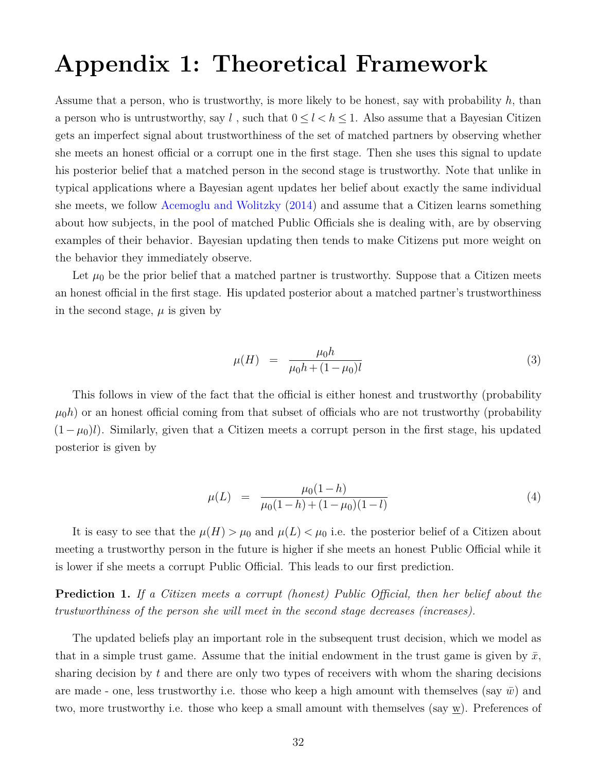# **Appendix 1: Theoretical Framework**

Assume that a person, who is trustworthy, is more likely to be honest, say with probability *h*, than a person who is untrustworthy, say *l*, such that  $0 \leq l < h \leq 1$ . Also assume that a Bayesian Citizen gets an imperfect signal about trustworthiness of the set of matched partners by observing whether she meets an honest official or a corrupt one in the first stage. Then she uses this signal to update his posterior belief that a matched person in the second stage is trustworthy. Note that unlike in typical applications where a Bayesian agent updates her belief about exactly the same individual she meets, we follow [Acemoglu and Wolitzky](#page-24-5) [\(2014\)](#page-24-5) and assume that a Citizen learns something about how subjects, in the pool of matched Public Officials she is dealing with, are by observing examples of their behavior. Bayesian updating then tends to make Citizens put more weight on the behavior they immediately observe.

Let  $\mu_0$  be the prior belief that a matched partner is trustworthy. Suppose that a Citizen meets an honest official in the first stage. His updated posterior about a matched partner's trustworthiness in the second stage,  $\mu$  is given by

<span id="page-33-0"></span>
$$
\mu(H) = \frac{\mu_0 h}{\mu_0 h + (1 - \mu_0) l} \tag{3}
$$

This follows in view of the fact that the official is either honest and trustworthy (probability  $\mu_0 h$ ) or an honest official coming from that subset of officials who are not trustworthy (probability  $(1-\mu_0)l$ ). Similarly, given that a Citizen meets a corrupt person in the first stage, his updated posterior is given by

<span id="page-33-1"></span>
$$
\mu(L) = \frac{\mu_0(1-h)}{\mu_0(1-h) + (1-\mu_0)(1-l)} \tag{4}
$$

It is easy to see that the  $\mu(H) > \mu_0$  and  $\mu(L) < \mu_0$  i.e. the posterior belief of a Citizen about meeting a trustworthy person in the future is higher if she meets an honest Public Official while it is lower if she meets a corrupt Public Official. This leads to our first prediction.

**Prediction 1.** *If a Citizen meets a corrupt (honest) Public Official, then her belief about the trustworthiness of the person she will meet in the second stage decreases (increases).*

The updated beliefs play an important role in the subsequent trust decision, which we model as that in a simple trust game. Assume that the initial endowment in the trust game is given by  $\bar{x}$ , sharing decision by *t* and there are only two types of receivers with whom the sharing decisions are made - one, less trustworthy i.e. those who keep a high amount with themselves (say  $\bar{w}$ ) and two, more trustworthy i.e. those who keep a small amount with themselves (say  $\underline{w}$ ). Preferences of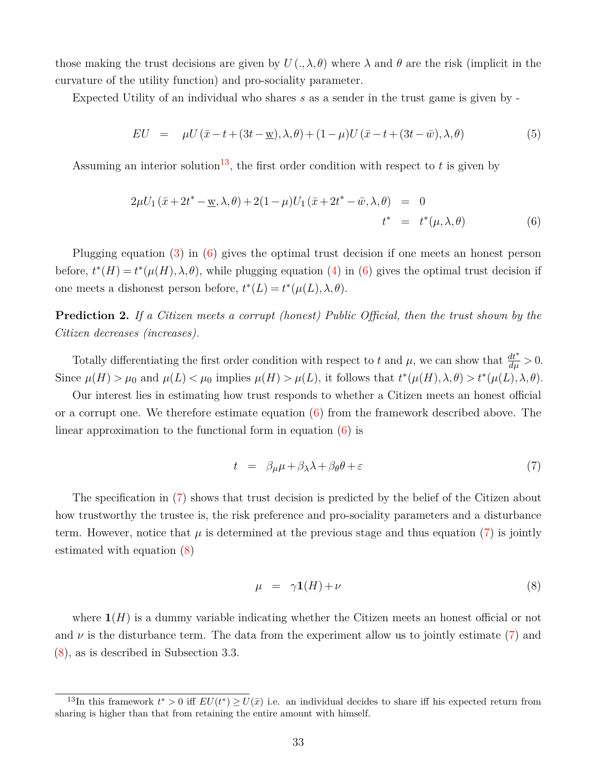those making the trust decisions are given by  $U(.,\lambda,\theta)$  where  $\lambda$  and  $\theta$  are the risk (implicit in the curvature of the utility function) and pro-sociality parameter.

Expected Utility of an individual who shares *s* as a sender in the trust game is given by -

$$
EU = \mu U (\bar{x} - t + (3t - \underline{w}), \lambda, \theta) + (1 - \mu) U (\bar{x} - t + (3t - \bar{w}), \lambda, \theta)
$$
(5)

Assuming an interior solution<sup>[13](#page--1-0)</sup>, the first order condition with respect to  $t$  is given by

<span id="page-34-2"></span>
$$
2\mu U_1 (\bar{x} + 2t^* - \underline{w}, \lambda, \theta) + 2(1 - \mu)U_1 (\bar{x} + 2t^* - \bar{w}, \lambda, \theta) = 0
$$
  

$$
t^* = t^*(\mu, \lambda, \theta)
$$
 (6)

Plugging equation [\(3\)](#page-33-0) in [\(6\)](#page-34-2) gives the optimal trust decision if one meets an honest person before,  $t^*(H) = t^*(\mu(H), \lambda, \theta)$ , while plugging equation [\(4\)](#page-33-1) in [\(6\)](#page-34-2) gives the optimal trust decision if one meets a dishonest person before,  $t^*(L) = t^*(\mu(L), \lambda, \theta)$ .

**Prediction 2.** *If a Citizen meets a corrupt (honest) Public Official, then the trust shown by the Citizen decreases (increases).*

Totally differentiating the first order condition with respect to *t* and  $\mu$ , we can show that  $\frac{dt^*}{d\mu} > 0$ . Since  $\mu(H) > \mu_0$  and  $\mu(L) < \mu_0$  implies  $\mu(H) > \mu(L)$ , it follows that  $t^*(\mu(H), \lambda, \theta) > t^*(\mu(L), \lambda, \theta)$ .

Our interest lies in estimating how trust responds to whether a Citizen meets an honest official or a corrupt one. We therefore estimate equation  $(6)$  from the framework described above. The linear approximation to the functional form in equation [\(6\)](#page-34-2) is

<span id="page-34-0"></span>
$$
t = \beta_{\mu}\mu + \beta_{\lambda}\lambda + \beta_{\theta}\theta + \varepsilon \tag{7}
$$

The specification in [\(7\)](#page-34-0) shows that trust decision is predicted by the belief of the Citizen about how trustworthy the trustee is, the risk preference and pro-sociality parameters and a disturbance term. However, notice that  $\mu$  is determined at the previous stage and thus equation [\(7\)](#page-34-0) is jointly estimated with equation [\(8\)](#page-34-1)

<span id="page-34-1"></span>
$$
\mu = \gamma \mathbf{1}(H) + \nu \tag{8}
$$

where  $\mathbf{1}(H)$  is a dummy variable indicating whether the Citizen meets an honest official or not and  $\nu$  is the disturbance term. The data from the experiment allow us to jointly estimate [\(7\)](#page-34-0) and [\(8\)](#page-34-1), as is described in Subsection 3.3.

<sup>&</sup>lt;sup>13</sup>In this framework  $t^* > 0$  iff  $EU(t^*) \ge U(\bar{x})$  i.e. an individual decides to share iff his expected return from sharing is higher than that from retaining the entire amount with himself.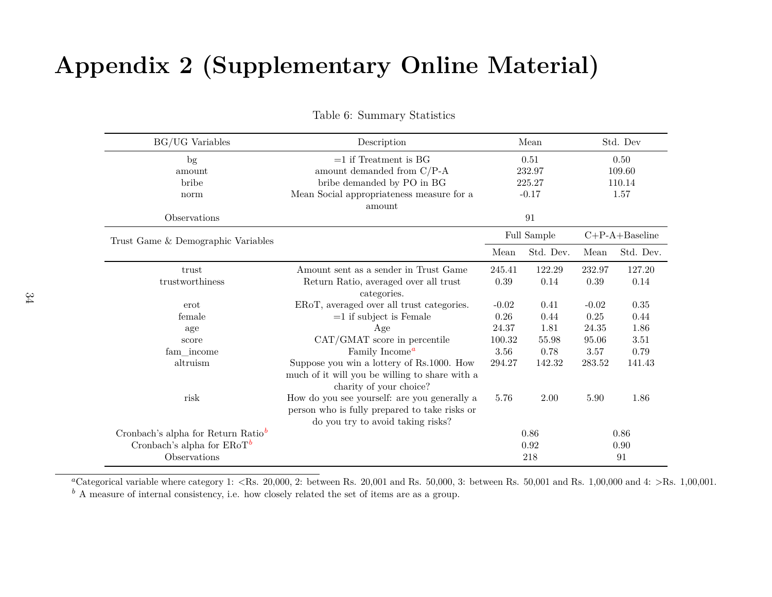# <span id="page-35-0"></span>**Appendix <sup>2</sup> (Supplementary Online Material)**

| <b>BG/UG</b> Variables                         | Description                                                               |          | Mean        |                   | Std. Dev  |
|------------------------------------------------|---------------------------------------------------------------------------|----------|-------------|-------------------|-----------|
| bg                                             | $=1$ if Treatment is BG                                                   |          | 0.51        |                   | 0.50      |
| amount                                         | amount demanded from $C/P-A$                                              |          | 232.97      |                   | 109.60    |
| bribe                                          | bribe demanded by PO in BG                                                |          | 225.27      | 110.14            |           |
| norm                                           | Mean Social appropriateness measure for ${\bf a}$<br>amount               |          | $-0.17$     | 1.57              |           |
| Observations                                   |                                                                           |          | 91          |                   |           |
| Trust Game & Demographic Variables             |                                                                           |          | Full Sample | $C+P-A+B$ aseline |           |
|                                                |                                                                           | Mean     | Std. Dev.   | Mean              | Std. Dev. |
| trust                                          | Amount sent as a sender in Trust Game                                     | 245.41   | 122.29      | 232.97            | 127.20    |
| trustworthiness                                | Return Ratio, averaged over all trust                                     | $0.39\,$ | 0.14        | 0.39              | 0.14      |
|                                                | categories.                                                               |          |             |                   |           |
| erot                                           | ERoT, averaged over all trust categories.                                 | $-0.02$  | 0.41        | $-0.02$           | 0.35      |
| female                                         | $=1$ if subject is Female                                                 | 0.26     | 0.44        | 0.25              | 0.44      |
| age                                            | Age                                                                       | 24.37    | 1.81        | 24.35             | 1.86      |
| score                                          | CAT/GMAT score in percentile                                              | 100.32   | 55.98       | 95.06             | 3.51      |
| fam income                                     | Family Income <sup><math>a</math></sup>                                   | 3.56     | 0.78        | 3.57              | 0.79      |
| altruism                                       | Suppose you win a lottery of Rs.1000. How                                 | 294.27   | 142.32      | 283.52            | 141.43    |
|                                                | much of it will you be willing to share with a<br>charity of your choice? |          |             |                   |           |
| risk                                           | How do you see yourself: are you generally a                              | 5.76     | 2.00        | 5.90              | 1.86      |
|                                                | person who is fully prepared to take risks or                             |          |             |                   |           |
|                                                | do you try to avoid taking risks?                                         |          |             |                   |           |
| Cronbach's alpha for Return Ratio <sup>b</sup> |                                                                           |          | 0.86        |                   | 0.86      |
| Cronbach's alpha for $ERoT^b$                  |                                                                           |          | 0.92        |                   | 0.90      |
| Observations                                   |                                                                           |          | 218         |                   | 91        |

<span id="page-35-2"></span><span id="page-35-1"></span>Table 6: Summary Statistics

<sup>a</sup>Categorical variable where category 1: <Rs. 20,000, 2: between Rs. 20,001 and Rs. 50,000, 3: between Rs. 50,001 and Rs. 1,00,000 and 4: >Rs. 1,00,001. *b* A measure of internal consistency, i.e. how closely related the set of items are as <sup>a</sup> group.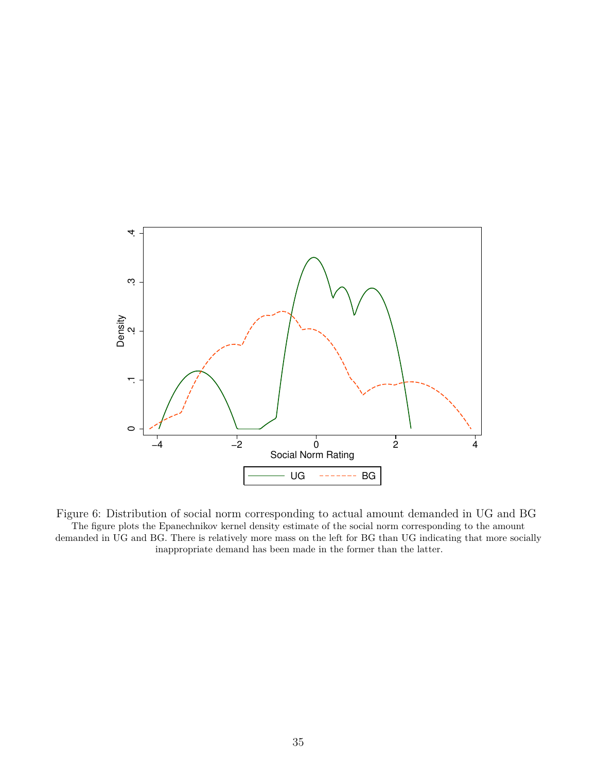<span id="page-36-0"></span>

Figure 6: Distribution of social norm corresponding to actual amount demanded in UG and BG The figure plots the Epanechnikov kernel density estimate of the social norm corresponding to the amount demanded in UG and BG. There is relatively more mass on the left for BG than UG indicating that more socially inappropriate demand has been made in the former than the latter.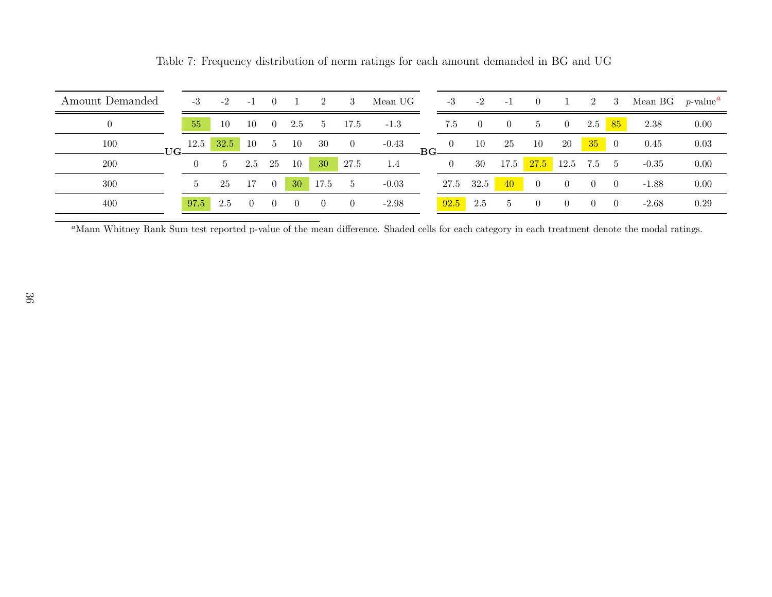| Amount Demanded | $-3$ | $-2$        | $-1$ |          |               | $\overline{2}$ | 3              | Mean UG |     | $-3$           | $-2$           | $-1$            | 0              |                | 2                | 3   | Mean BG $p$ -value <sup>a</sup> |      |
|-----------------|------|-------------|------|----------|---------------|----------------|----------------|---------|-----|----------------|----------------|-----------------|----------------|----------------|------------------|-----|---------------------------------|------|
| $\theta$        | 55   | 10          | 10   | $\theta$ | 2.5           | 5              | 17.5           | $-1.3$  |     | 7.5            | $\overline{0}$ | $\vert 0 \vert$ | 5              | $\overline{0}$ | 2.5              | -85 | 2.38                            | 0.00 |
| 100<br>UG-      | 12.5 | 32.5        | 10   | 5        | 10            | 30             | $\overline{0}$ | $-0.43$ | BG. | $\overline{0}$ | 10             | 25              | -10            | 20             | 35               | - 0 | 0.45                            | 0.03 |
| <b>200</b>      |      | $5^{\circ}$ | 2.5  | 25       | <sup>10</sup> | 30             | 27.5           | 1.4     |     | $\overline{0}$ | 30             | 17.5            | $27.5$ 12.5    |                | 7.5              | - 5 | $-0.35$                         | 0.00 |
| 300             | 5.   | 25          | 17   | $\Omega$ | 30            | 17.5           | 5              | $-0.03$ |     | 27.5           | 32.5           | 40              | $\overline{0}$ | $\Omega$       | $\Omega$         | -0  | $-1.88$                         | 0.00 |
| 400             | 97.5 | 2.5         |      |          | $\theta$      |                | $\overline{0}$ | $-2.98$ |     | 92.5           | 2.5            | $\frac{5}{2}$   | $\theta$       | $\theta$       | $\left( \right)$ | -0  | $-2.68$                         | 0.29 |

<span id="page-37-1"></span><span id="page-37-0"></span>Table 7: Frequency distribution of norm ratings for each amount demanded in BG and UG

<sup>a</sup>Mann Whitney Rank Sum test reported p-value of the mean difference. Shaded cells for each category in each treatment denote the modal ratings.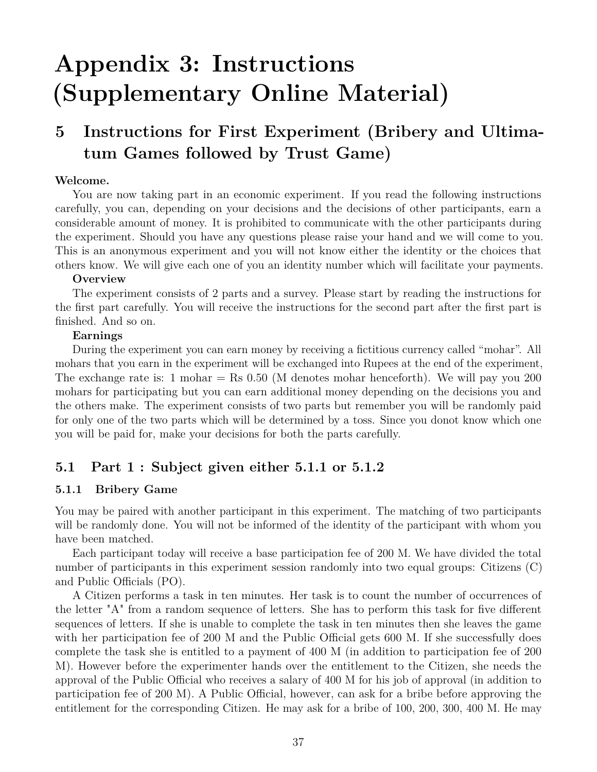# **Appendix 3: Instructions (Supplementary Online Material)**

# **5 Instructions for First Experiment (Bribery and Ultimatum Games followed by Trust Game)**

### **Welcome.**

You are now taking part in an economic experiment. If you read the following instructions carefully, you can, depending on your decisions and the decisions of other participants, earn a considerable amount of money. It is prohibited to communicate with the other participants during the experiment. Should you have any questions please raise your hand and we will come to you. This is an anonymous experiment and you will not know either the identity or the choices that others know. We will give each one of you an identity number which will facilitate your payments.

### **Overview**

The experiment consists of 2 parts and a survey. Please start by reading the instructions for the first part carefully. You will receive the instructions for the second part after the first part is finished. And so on.

### **Earnings**

During the experiment you can earn money by receiving a fictitious currency called "mohar". All mohars that you earn in the experiment will be exchanged into Rupees at the end of the experiment, The exchange rate is: 1 mohar  $=$  Rs 0.50 (M denotes mohar henceforth). We will pay you 200 mohars for participating but you can earn additional money depending on the decisions you and the others make. The experiment consists of two parts but remember you will be randomly paid for only one of the two parts which will be determined by a toss. Since you donot know which one you will be paid for, make your decisions for both the parts carefully.

### **5.1 Part 1 : Subject given either 5.1.1 or 5.1.2**

### **5.1.1 Bribery Game**

You may be paired with another participant in this experiment. The matching of two participants will be randomly done. You will not be informed of the identity of the participant with whom you have been matched.

Each participant today will receive a base participation fee of 200 M. We have divided the total number of participants in this experiment session randomly into two equal groups: Citizens (C) and Public Officials (PO).

A Citizen performs a task in ten minutes. Her task is to count the number of occurrences of the letter "A" from a random sequence of letters. She has to perform this task for five different sequences of letters. If she is unable to complete the task in ten minutes then she leaves the game with her participation fee of 200 M and the Public Official gets 600 M. If she successfully does complete the task she is entitled to a payment of 400 M (in addition to participation fee of 200 M). However before the experimenter hands over the entitlement to the Citizen, she needs the approval of the Public Official who receives a salary of 400 M for his job of approval (in addition to participation fee of 200 M). A Public Official, however, can ask for a bribe before approving the entitlement for the corresponding Citizen. He may ask for a bribe of 100, 200, 300, 400 M. He may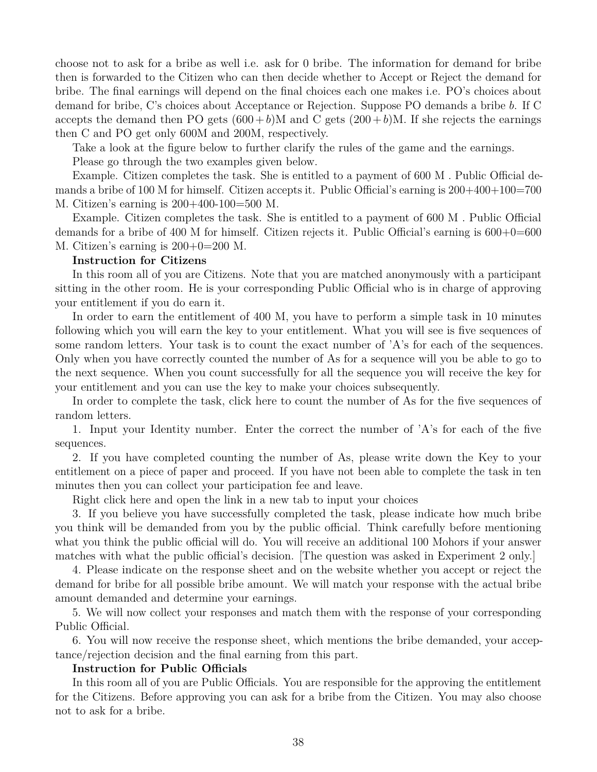choose not to ask for a bribe as well i.e. ask for 0 bribe. The information for demand for bribe then is forwarded to the Citizen who can then decide whether to Accept or Reject the demand for bribe. The final earnings will depend on the final choices each one makes i.e. PO's choices about demand for bribe, C's choices about Acceptance or Rejection. Suppose PO demands a bribe *b*. If C accepts the demand then PO gets  $(600 + b)$ M and C gets  $(200 + b)$ M. If she rejects the earnings then C and PO get only 600M and 200M, respectively.

Take a look at the figure below to further clarify the rules of the game and the earnings.

Please go through the two examples given below.

Example. Citizen completes the task. She is entitled to a payment of 600 M . Public Official demands a bribe of 100 M for himself. Citizen accepts it. Public Official's earning is 200+400+100=700 M. Citizen's earning is 200+400-100=500 M.

Example. Citizen completes the task. She is entitled to a payment of 600 M . Public Official demands for a bribe of 400 M for himself. Citizen rejects it. Public Official's earning is  $600+0=600$ M. Citizen's earning is 200+0=200 M.

### **Instruction for Citizens**

In this room all of you are Citizens. Note that you are matched anonymously with a participant sitting in the other room. He is your corresponding Public Official who is in charge of approving your entitlement if you do earn it.

In order to earn the entitlement of 400 M, you have to perform a simple task in 10 minutes following which you will earn the key to your entitlement. What you will see is five sequences of some random letters. Your task is to count the exact number of 'A's for each of the sequences. Only when you have correctly counted the number of As for a sequence will you be able to go to the next sequence. When you count successfully for all the sequence you will receive the key for your entitlement and you can use the key to make your choices subsequently.

In order to complete the task, click here to count the number of As for the five sequences of random letters.

1. Input your Identity number. Enter the correct the number of 'A's for each of the five sequences.

2. If you have completed counting the number of As, please write down the Key to your entitlement on a piece of paper and proceed. If you have not been able to complete the task in ten minutes then you can collect your participation fee and leave.

Right click here and open the link in a new tab to input your choices

3. If you believe you have successfully completed the task, please indicate how much bribe you think will be demanded from you by the public official. Think carefully before mentioning what you think the public official will do. You will receive an additional 100 Mohors if your answer matches with what the public official's decision. [The question was asked in Experiment 2 only.]

4. Please indicate on the response sheet and on the website whether you accept or reject the demand for bribe for all possible bribe amount. We will match your response with the actual bribe amount demanded and determine your earnings.

5. We will now collect your responses and match them with the response of your corresponding Public Official.

6. You will now receive the response sheet, which mentions the bribe demanded, your acceptance/rejection decision and the final earning from this part.

### **Instruction for Public Officials**

In this room all of you are Public Officials. You are responsible for the approving the entitlement for the Citizens. Before approving you can ask for a bribe from the Citizen. You may also choose not to ask for a bribe.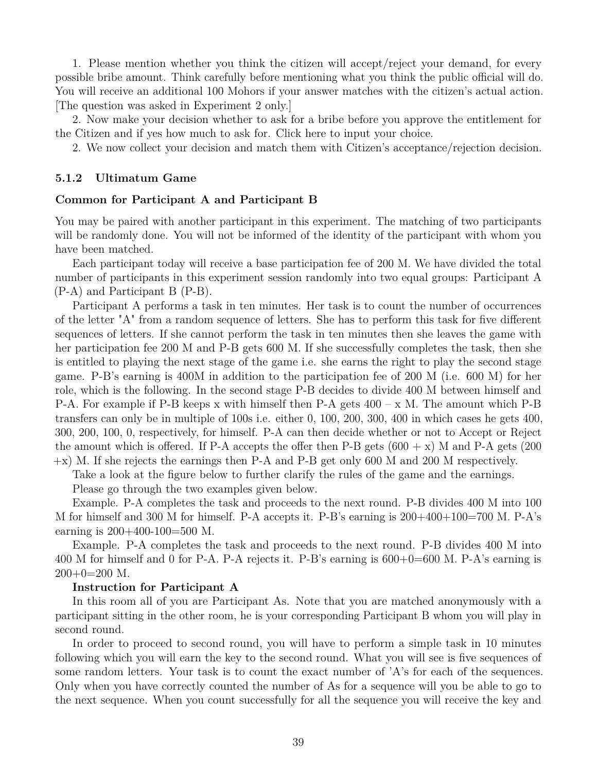1. Please mention whether you think the citizen will accept/reject your demand, for every possible bribe amount. Think carefully before mentioning what you think the public official will do. You will receive an additional 100 Mohors if your answer matches with the citizen's actual action. [The question was asked in Experiment 2 only.]

2. Now make your decision whether to ask for a bribe before you approve the entitlement for the Citizen and if yes how much to ask for. Click here to input your choice.

2. We now collect your decision and match them with Citizen's acceptance/rejection decision.

#### **5.1.2 Ultimatum Game**

#### **Common for Participant A and Participant B**

You may be paired with another participant in this experiment. The matching of two participants will be randomly done. You will not be informed of the identity of the participant with whom you have been matched.

Each participant today will receive a base participation fee of 200 M. We have divided the total number of participants in this experiment session randomly into two equal groups: Participant A (P-A) and Participant B (P-B).

Participant A performs a task in ten minutes. Her task is to count the number of occurrences of the letter "A" from a random sequence of letters. She has to perform this task for five different sequences of letters. If she cannot perform the task in ten minutes then she leaves the game with her participation fee 200 M and P-B gets 600 M. If she successfully completes the task, then she is entitled to playing the next stage of the game i.e. she earns the right to play the second stage game. P-B's earning is 400M in addition to the participation fee of 200 M (i.e. 600 M) for her role, which is the following. In the second stage P-B decides to divide 400 M between himself and P-A. For example if P-B keeps x with himself then P-A gets  $400 - x$  M. The amount which P-B transfers can only be in multiple of 100s i.e. either 0, 100, 200, 300, 400 in which cases he gets 400, 300, 200, 100, 0, respectively, for himself. P-A can then decide whether or not to Accept or Reject the amount which is offered. If P-A accepts the offer then P-B gets  $(600 + x)$  M and P-A gets  $(200$ +x) M. If she rejects the earnings then P-A and P-B get only 600 M and 200 M respectively.

Take a look at the figure below to further clarify the rules of the game and the earnings.

Please go through the two examples given below.

Example. P-A completes the task and proceeds to the next round. P-B divides 400 M into 100 M for himself and 300 M for himself. P-A accepts it. P-B's earning is 200+400+100=700 M. P-A's earning is 200+400-100=500 M.

Example. P-A completes the task and proceeds to the next round. P-B divides 400 M into 400 M for himself and 0 for P-A. P-A rejects it. P-B's earning is 600+0=600 M. P-A's earning is 200+0=200 M.

#### **Instruction for Participant A**

In this room all of you are Participant As. Note that you are matched anonymously with a participant sitting in the other room, he is your corresponding Participant B whom you will play in second round.

In order to proceed to second round, you will have to perform a simple task in 10 minutes following which you will earn the key to the second round. What you will see is five sequences of some random letters. Your task is to count the exact number of 'A's for each of the sequences. Only when you have correctly counted the number of As for a sequence will you be able to go to the next sequence. When you count successfully for all the sequence you will receive the key and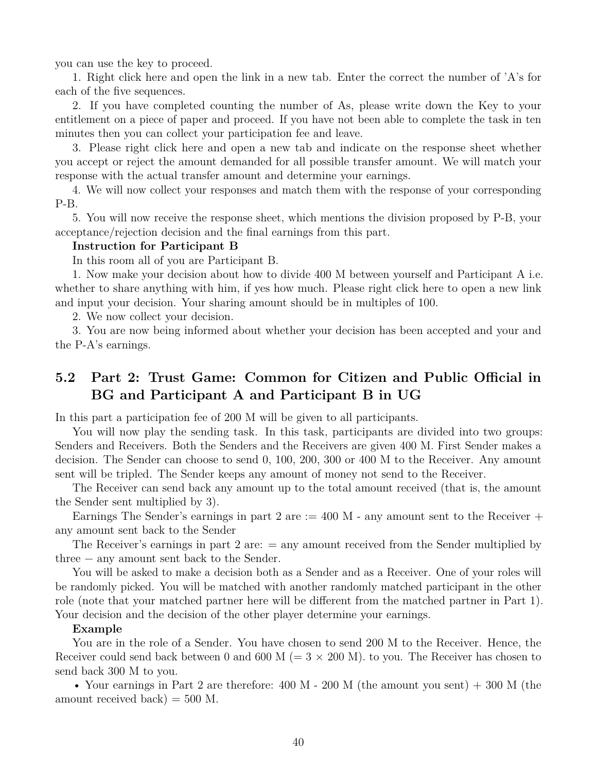you can use the key to proceed.

1. Right click here and open the link in a new tab. Enter the correct the number of 'A's for each of the five sequences.

2. If you have completed counting the number of As, please write down the Key to your entitlement on a piece of paper and proceed. If you have not been able to complete the task in ten minutes then you can collect your participation fee and leave.

3. Please right click here and open a new tab and indicate on the response sheet whether you accept or reject the amount demanded for all possible transfer amount. We will match your response with the actual transfer amount and determine your earnings.

4. We will now collect your responses and match them with the response of your corresponding P-B.

5. You will now receive the response sheet, which mentions the division proposed by P-B, your acceptance/rejection decision and the final earnings from this part.

### **Instruction for Participant B**

In this room all of you are Participant B.

1. Now make your decision about how to divide 400 M between yourself and Participant A i.e. whether to share anything with him, if yes how much. Please right click here to open a new link and input your decision. Your sharing amount should be in multiples of 100.

2. We now collect your decision.

3. You are now being informed about whether your decision has been accepted and your and the P-A's earnings.

# **5.2 Part 2: Trust Game: Common for Citizen and Public Official in BG and Participant A and Participant B in UG**

In this part a participation fee of 200 M will be given to all participants.

You will now play the sending task. In this task, participants are divided into two groups: Senders and Receivers. Both the Senders and the Receivers are given 400 M. First Sender makes a decision. The Sender can choose to send 0, 100, 200, 300 or 400 M to the Receiver. Any amount sent will be tripled. The Sender keeps any amount of money not send to the Receiver.

The Receiver can send back any amount up to the total amount received (that is, the amount the Sender sent multiplied by 3).

Earnings The Sender's earnings in part 2 are  $:= 400$  M - any amount sent to the Receiver  $+$ any amount sent back to the Sender

The Receiver's earnings in part 2 are:  $=$  any amount received from the Sender multiplied by three − any amount sent back to the Sender.

You will be asked to make a decision both as a Sender and as a Receiver. One of your roles will be randomly picked. You will be matched with another randomly matched participant in the other role (note that your matched partner here will be different from the matched partner in Part 1). Your decision and the decision of the other player determine your earnings.

#### **Example**

You are in the role of a Sender. You have chosen to send 200 M to the Receiver. Hence, the Receiver could send back between 0 and 600 M ( $= 3 \times 200$  M). to you. The Receiver has chosen to send back 300 M to you.

• Your earnings in Part 2 are therefore:  $400 \text{ M}$  -  $200 \text{ M}$  (the amount you sent) + 300 M (the amount received back)  $= 500$  M.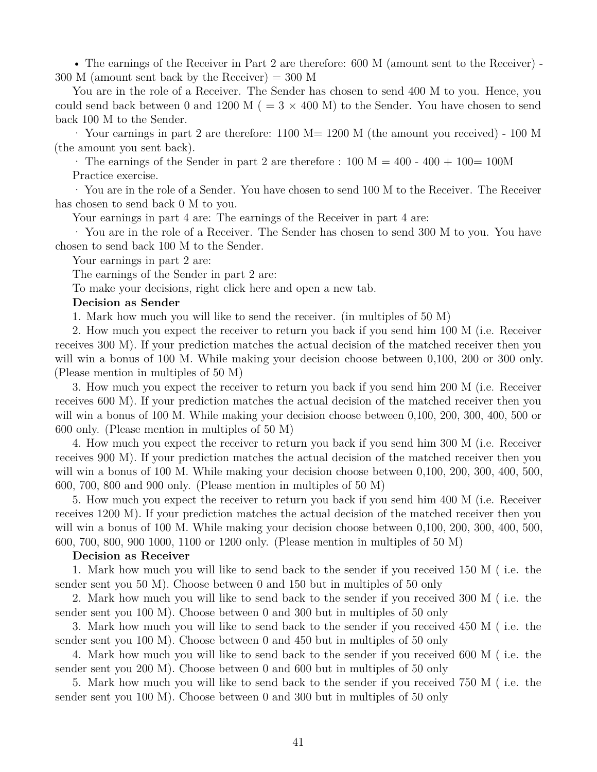• The earnings of the Receiver in Part 2 are therefore: 600 M (amount sent to the Receiver) - 300 M (amount sent back by the Receiver) = 300 M

You are in the role of a Receiver. The Sender has chosen to send 400 M to you. Hence, you could send back between 0 and 1200 M ( $= 3 \times 400$  M) to the Sender. You have chosen to send back 100 M to the Sender.

· Your earnings in part 2 are therefore: 1100 M= 1200 M (the amount you received) - 100 M (the amount you sent back).

 $\cdot$  The earnings of the Sender in part 2 are therefore : 100 M = 400 - 400 + 100 = 100 M Practice exercise.

· You are in the role of a Sender. You have chosen to send 100 M to the Receiver. The Receiver has chosen to send back 0 M to you.

Your earnings in part 4 are: The earnings of the Receiver in part 4 are:

· You are in the role of a Receiver. The Sender has chosen to send 300 M to you. You have chosen to send back 100 M to the Sender.

Your earnings in part 2 are:

The earnings of the Sender in part 2 are:

To make your decisions, right click here and open a new tab.

### **Decision as Sender**

1. Mark how much you will like to send the receiver. (in multiples of 50 M)

2. How much you expect the receiver to return you back if you send him 100 M (i.e. Receiver receives 300 M). If your prediction matches the actual decision of the matched receiver then you will win a bonus of 100 M. While making your decision choose between 0,100, 200 or 300 only. (Please mention in multiples of 50 M)

3. How much you expect the receiver to return you back if you send him 200 M (i.e. Receiver receives 600 M). If your prediction matches the actual decision of the matched receiver then you will win a bonus of 100 M. While making your decision choose between 0,100, 200, 300, 400, 500 or 600 only. (Please mention in multiples of 50 M)

4. How much you expect the receiver to return you back if you send him 300 M (i.e. Receiver receives 900 M). If your prediction matches the actual decision of the matched receiver then you will win a bonus of 100 M. While making your decision choose between 0,100, 200, 300, 400, 500, 600, 700, 800 and 900 only. (Please mention in multiples of 50 M)

5. How much you expect the receiver to return you back if you send him 400 M (i.e. Receiver receives 1200 M). If your prediction matches the actual decision of the matched receiver then you will win a bonus of 100 M. While making your decision choose between 0,100, 200, 300, 400, 500, 600, 700, 800, 900 1000, 1100 or 1200 only. (Please mention in multiples of 50 M)

#### **Decision as Receiver**

1. Mark how much you will like to send back to the sender if you received 150 M ( i.e. the sender sent you 50 M). Choose between 0 and 150 but in multiples of 50 only

2. Mark how much you will like to send back to the sender if you received 300 M ( i.e. the sender sent you 100 M). Choose between 0 and 300 but in multiples of 50 only

3. Mark how much you will like to send back to the sender if you received 450 M ( i.e. the sender sent you 100 M). Choose between 0 and 450 but in multiples of 50 only

4. Mark how much you will like to send back to the sender if you received 600 M ( i.e. the sender sent you 200 M). Choose between 0 and 600 but in multiples of 50 only

5. Mark how much you will like to send back to the sender if you received 750 M ( i.e. the sender sent you 100 M). Choose between 0 and 300 but in multiples of 50 only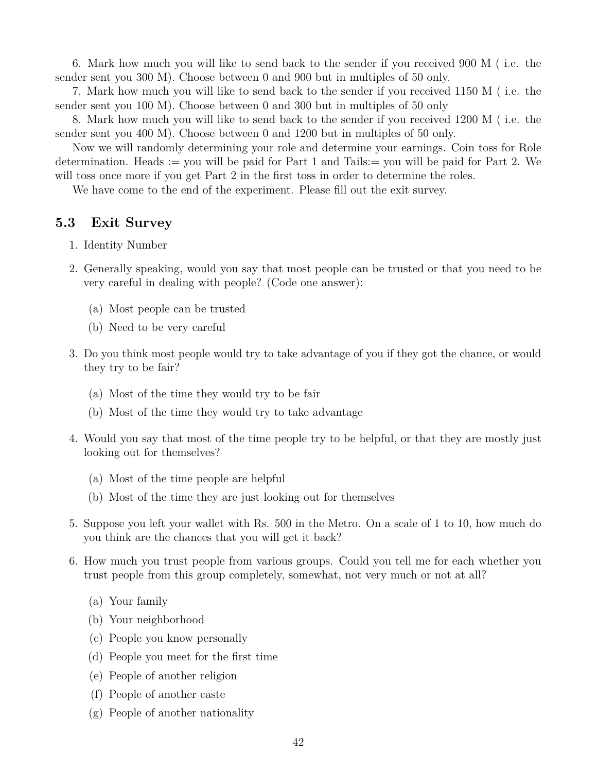6. Mark how much you will like to send back to the sender if you received 900 M ( i.e. the sender sent you 300 M). Choose between 0 and 900 but in multiples of 50 only.

7. Mark how much you will like to send back to the sender if you received 1150 M ( i.e. the sender sent you 100 M). Choose between 0 and 300 but in multiples of 50 only

8. Mark how much you will like to send back to the sender if you received 1200 M ( i.e. the sender sent you 400 M). Choose between 0 and 1200 but in multiples of 50 only.

Now we will randomly determining your role and determine your earnings. Coin toss for Role determination. Heads := you will be paid for Part 1 and Tails:  $=$  you will be paid for Part 2. We will toss once more if you get Part 2 in the first toss in order to determine the roles.

We have come to the end of the experiment. Please fill out the exit survey.

### **5.3 Exit Survey**

- 1. Identity Number
- 2. Generally speaking, would you say that most people can be trusted or that you need to be very careful in dealing with people? (Code one answer):
	- (a) Most people can be trusted
	- (b) Need to be very careful
- 3. Do you think most people would try to take advantage of you if they got the chance, or would they try to be fair?
	- (a) Most of the time they would try to be fair
	- (b) Most of the time they would try to take advantage
- 4. Would you say that most of the time people try to be helpful, or that they are mostly just looking out for themselves?
	- (a) Most of the time people are helpful
	- (b) Most of the time they are just looking out for themselves
- 5. Suppose you left your wallet with Rs. 500 in the Metro. On a scale of 1 to 10, how much do you think are the chances that you will get it back?
- 6. How much you trust people from various groups. Could you tell me for each whether you trust people from this group completely, somewhat, not very much or not at all?
	- (a) Your family
	- (b) Your neighborhood
	- (c) People you know personally
	- (d) People you meet for the first time
	- (e) People of another religion
	- (f) People of another caste
	- (g) People of another nationality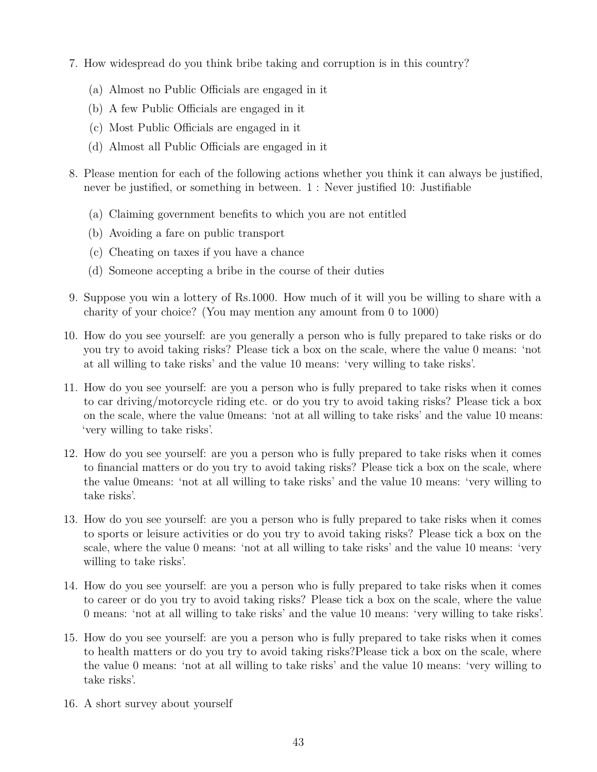- 7. How widespread do you think bribe taking and corruption is in this country?
	- (a) Almost no Public Officials are engaged in it
	- (b) A few Public Officials are engaged in it
	- (c) Most Public Officials are engaged in it
	- (d) Almost all Public Officials are engaged in it
- 8. Please mention for each of the following actions whether you think it can always be justified, never be justified, or something in between. 1 : Never justified 10: Justifiable
	- (a) Claiming government benefits to which you are not entitled
	- (b) Avoiding a fare on public transport
	- (c) Cheating on taxes if you have a chance
	- (d) Someone accepting a bribe in the course of their duties
- 9. Suppose you win a lottery of Rs.1000. How much of it will you be willing to share with a charity of your choice? (You may mention any amount from 0 to 1000)
- 10. How do you see yourself: are you generally a person who is fully prepared to take risks or do you try to avoid taking risks? Please tick a box on the scale, where the value 0 means: 'not at all willing to take risks' and the value 10 means: 'very willing to take risks'.
- 11. How do you see yourself: are you a person who is fully prepared to take risks when it comes to car driving/motorcycle riding etc. or do you try to avoid taking risks? Please tick a box on the scale, where the value 0means: 'not at all willing to take risks' and the value 10 means: 'very willing to take risks'.
- 12. How do you see yourself: are you a person who is fully prepared to take risks when it comes to financial matters or do you try to avoid taking risks? Please tick a box on the scale, where the value 0means: 'not at all willing to take risks' and the value 10 means: 'very willing to take risks'.
- 13. How do you see yourself: are you a person who is fully prepared to take risks when it comes to sports or leisure activities or do you try to avoid taking risks? Please tick a box on the scale, where the value 0 means: 'not at all willing to take risks' and the value 10 means: 'very willing to take risks'.
- 14. How do you see yourself: are you a person who is fully prepared to take risks when it comes to career or do you try to avoid taking risks? Please tick a box on the scale, where the value 0 means: 'not at all willing to take risks' and the value 10 means: 'very willing to take risks'.
- 15. How do you see yourself: are you a person who is fully prepared to take risks when it comes to health matters or do you try to avoid taking risks?Please tick a box on the scale, where the value 0 means: 'not at all willing to take risks' and the value 10 means: 'very willing to take risks'.
- 16. A short survey about yourself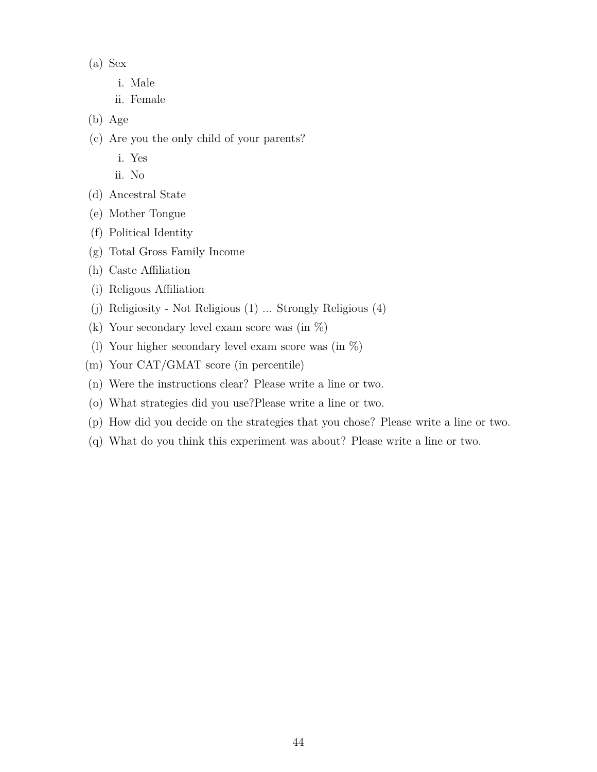(a) Sex

- i. Male
- ii. Female
- (b) Age
- (c) Are you the only child of your parents?
	- i. Yes
	- ii. No
- (d) Ancestral State
- (e) Mother Tongue
- (f) Political Identity
- (g) Total Gross Family Income
- (h) Caste Affiliation
- (i) Religous Affiliation
- (j) Religiosity Not Religious (1) ... Strongly Religious (4)
- (k) Your secondary level exam score was (in  $\%$ )
- (l) Your higher secondary level exam score was (in %)
- (m) Your CAT/GMAT score (in percentile)
- (n) Were the instructions clear? Please write a line or two.
- (o) What strategies did you use?Please write a line or two.
- (p) How did you decide on the strategies that you chose? Please write a line or two.
- (q) What do you think this experiment was about? Please write a line or two.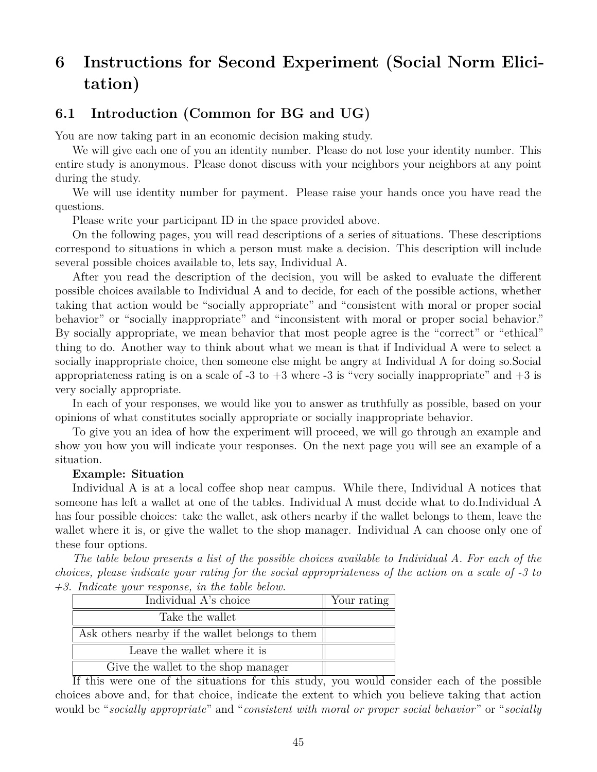# **6 Instructions for Second Experiment (Social Norm Elicitation)**

## **6.1 Introduction (Common for BG and UG)**

You are now taking part in an economic decision making study.

We will give each one of you an identity number. Please do not lose your identity number. This entire study is anonymous. Please donot discuss with your neighbors your neighbors at any point during the study.

We will use identity number for payment. Please raise your hands once you have read the questions.

Please write your participant ID in the space provided above.

On the following pages, you will read descriptions of a series of situations. These descriptions correspond to situations in which a person must make a decision. This description will include several possible choices available to, lets say, Individual A.

After you read the description of the decision, you will be asked to evaluate the different possible choices available to Individual A and to decide, for each of the possible actions, whether taking that action would be "socially appropriate" and "consistent with moral or proper social behavior" or "socially inappropriate" and "inconsistent with moral or proper social behavior." By socially appropriate, we mean behavior that most people agree is the "correct" or "ethical" thing to do. Another way to think about what we mean is that if Individual A were to select a socially inappropriate choice, then someone else might be angry at Individual A for doing so.Social appropriateness rating is on a scale of -3 to  $+3$  where -3 is "very socially inappropriate" and  $+3$  is very socially appropriate.

In each of your responses, we would like you to answer as truthfully as possible, based on your opinions of what constitutes socially appropriate or socially inappropriate behavior.

To give you an idea of how the experiment will proceed, we will go through an example and show you how you will indicate your responses. On the next page you will see an example of a situation.

### **Example: Situation**

Individual A is at a local coffee shop near campus. While there, Individual A notices that someone has left a wallet at one of the tables. Individual A must decide what to do.Individual A has four possible choices: take the wallet, ask others nearby if the wallet belongs to them, leave the wallet where it is, or give the wallet to the shop manager. Individual A can choose only one of these four options.

*The table below presents a list of the possible choices available to Individual A. For each of the choices, please indicate your rating for the social appropriateness of the action on a scale of -3 to +3. Indicate your response, in the table below.*

| Individual A's choice                           | Your rating |
|-------------------------------------------------|-------------|
| Take the wallet                                 |             |
| Ask others nearby if the wallet belongs to them |             |
| Leave the wallet where it is                    |             |
| Give the wallet to the shop manager             |             |
|                                                 |             |

If this were one of the situations for this study, you would consider each of the possible choices above and, for that choice, indicate the extent to which you believe taking that action would be "*socially appropriate*" and "*consistent with moral or proper social behavior*" or "*socially*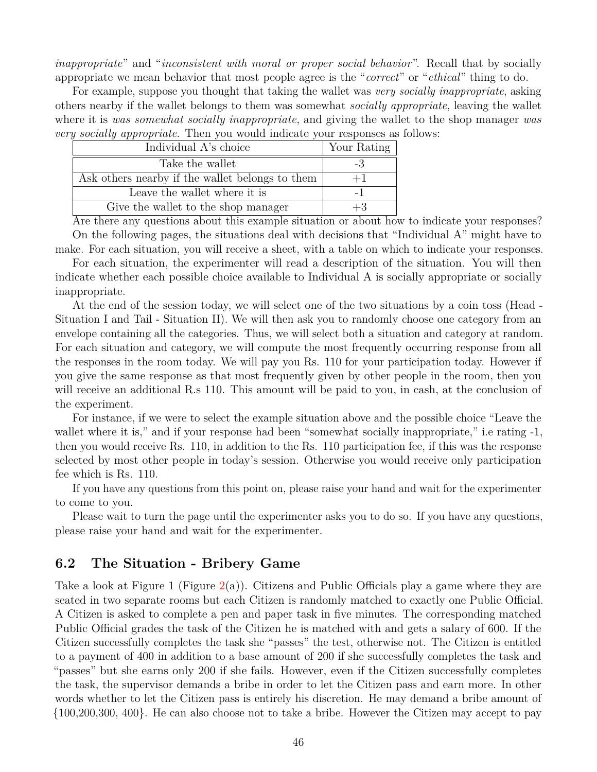*inappropriate*" and "*inconsistent with moral or proper social behavior*". Recall that by socially appropriate we mean behavior that most people agree is the "*correct*" or "*ethical*" thing to do.

For example, suppose you thought that taking the wallet was *very socially inappropriate*, asking others nearby if the wallet belongs to them was somewhat *socially appropriate*, leaving the wallet where it is *was somewhat socially inappropriate*, and giving the wallet to the shop manager *was very socially appropriate*. Then you would indicate your responses as follows:

| Individual A's choice                           | Your Rating |
|-------------------------------------------------|-------------|
| Take the wallet                                 | -3          |
| Ask others nearby if the wallet belongs to them | $+1$        |
| Leave the wallet where it is                    | $-1$        |
| Give the wallet to the shop manager             | $+3$        |

Are there any questions about this example situation or about how to indicate your responses? On the following pages, the situations deal with decisions that "Individual A" might have to

make. For each situation, you will receive a sheet, with a table on which to indicate your responses. For each situation, the experimenter will read a description of the situation. You will then

indicate whether each possible choice available to Individual A is socially appropriate or socially inappropriate.

At the end of the session today, we will select one of the two situations by a coin toss (Head - Situation I and Tail - Situation II). We will then ask you to randomly choose one category from an envelope containing all the categories. Thus, we will select both a situation and category at random. For each situation and category, we will compute the most frequently occurring response from all the responses in the room today. We will pay you Rs. 110 for your participation today. However if you give the same response as that most frequently given by other people in the room, then you will receive an additional R.s 110. This amount will be paid to you, in cash, at the conclusion of the experiment.

For instance, if we were to select the example situation above and the possible choice "Leave the wallet where it is," and if your response had been "somewhat socially inappropriate," i.e rating -1, then you would receive Rs. 110, in addition to the Rs. 110 participation fee, if this was the response selected by most other people in today's session. Otherwise you would receive only participation fee which is Rs. 110.

If you have any questions from this point on, please raise your hand and wait for the experimenter to come to you.

Please wait to turn the page until the experimenter asks you to do so. If you have any questions, please raise your hand and wait for the experimenter.

### **6.2 The Situation - Bribery Game**

Take a look at Figure 1 (Figure [2\(](#page-8-0)a)). Citizens and Public Officials play a game where they are seated in two separate rooms but each Citizen is randomly matched to exactly one Public Official. A Citizen is asked to complete a pen and paper task in five minutes. The corresponding matched Public Official grades the task of the Citizen he is matched with and gets a salary of 600. If the Citizen successfully completes the task she "passes" the test, otherwise not. The Citizen is entitled to a payment of 400 in addition to a base amount of 200 if she successfully completes the task and "passes" but she earns only 200 if she fails. However, even if the Citizen successfully completes the task, the supervisor demands a bribe in order to let the Citizen pass and earn more. In other words whether to let the Citizen pass is entirely his discretion. He may demand a bribe amount of {100,200,300, 400}. He can also choose not to take a bribe. However the Citizen may accept to pay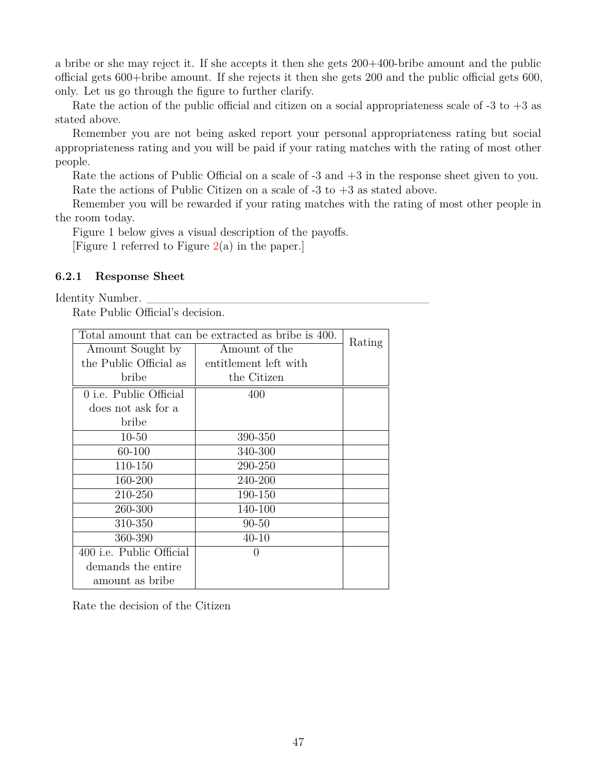a bribe or she may reject it. If she accepts it then she gets 200+400-bribe amount and the public official gets 600+bribe amount. If she rejects it then she gets 200 and the public official gets 600, only. Let us go through the figure to further clarify.

Rate the action of the public official and citizen on a social appropriateness scale of  $-3$  to  $+3$  as stated above.

Remember you are not being asked report your personal appropriateness rating but social appropriateness rating and you will be paid if your rating matches with the rating of most other people.

Rate the actions of Public Official on a scale of -3 and +3 in the response sheet given to you. Rate the actions of Public Citizen on a scale of  $-3$  to  $+3$  as stated above.

Remember you will be rewarded if your rating matches with the rating of most other people in the room today.

Figure 1 below gives a visual description of the payoffs.

[Figure 1 referred to Figure [2\(](#page-8-0)a) in the paper.]

### **6.2.1 Response Sheet**

Identity Number.

Rate Public Official's decision.

| Total amount that can be extracted as bribe is 400. |                       |        |  |  |  |  |
|-----------------------------------------------------|-----------------------|--------|--|--|--|--|
| Amount Sought by                                    | Amount of the         | Rating |  |  |  |  |
| the Public Official as                              | entitlement left with |        |  |  |  |  |
| bribe                                               | the Citizen           |        |  |  |  |  |
| 0 i.e. Public Official                              | 400                   |        |  |  |  |  |
| does not ask for a                                  |                       |        |  |  |  |  |
| bribe                                               |                       |        |  |  |  |  |
| $10 - 50$                                           | 390-350               |        |  |  |  |  |
| 60-100                                              | 340-300               |        |  |  |  |  |
| 110-150                                             | 290-250               |        |  |  |  |  |
| 160-200                                             | 240-200               |        |  |  |  |  |
| 210-250                                             | 190-150               |        |  |  |  |  |
| 260-300                                             | 140-100               |        |  |  |  |  |
| 310-350                                             | $90 - 50$             |        |  |  |  |  |
| 360-390                                             | $40 - 10$             |        |  |  |  |  |
| 400 i.e. Public Official                            | $\mathcal{O}$         |        |  |  |  |  |
| demands the entire                                  |                       |        |  |  |  |  |
| amount as bribe                                     |                       |        |  |  |  |  |

Rate the decision of the Citizen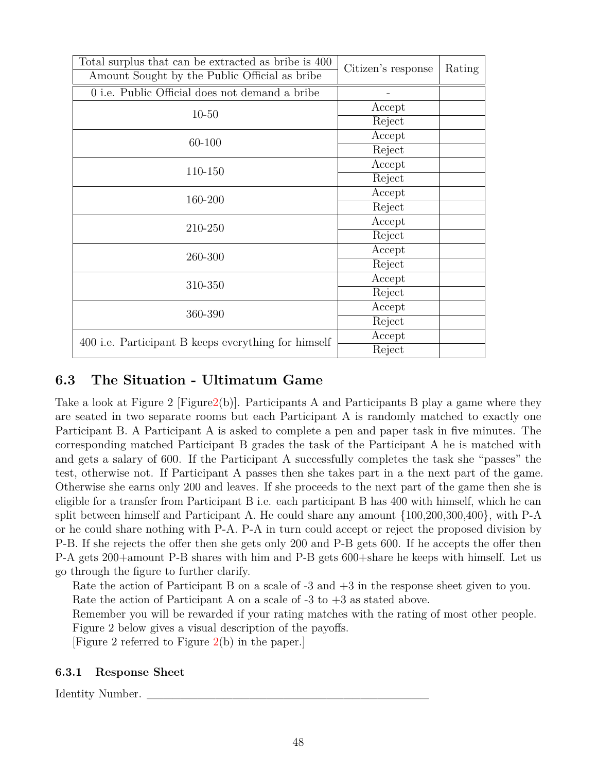| Total surplus that can be extracted as bribe is 400<br>Amount Sought by the Public Official as bribe | Citizen's response | Rating |
|------------------------------------------------------------------------------------------------------|--------------------|--------|
| 0 i.e. Public Official does not demand a bribe                                                       |                    |        |
| $10 - 50$                                                                                            | Accept             |        |
|                                                                                                      | Reject             |        |
| 60-100                                                                                               | Accept             |        |
|                                                                                                      | Reject             |        |
| 110-150                                                                                              | Accept             |        |
|                                                                                                      | Reject             |        |
| 160-200                                                                                              | Accept             |        |
|                                                                                                      | Reject             |        |
| 210-250                                                                                              | Accept             |        |
|                                                                                                      | Reject             |        |
| 260-300                                                                                              | Accept             |        |
|                                                                                                      | Reject             |        |
| 310-350                                                                                              | Accept             |        |
|                                                                                                      | Reject             |        |
| 360-390                                                                                              | Accept             |        |
|                                                                                                      | Reject             |        |
| 400 i.e. Participant B keeps everything for himself                                                  | Accept             |        |
|                                                                                                      | Reject             |        |

## **6.3 The Situation - Ultimatum Game**

Take a look at Figure 2 [Figure 2(b)]. Participants A and Participants B play a game where they are seated in two separate rooms but each Participant A is randomly matched to exactly one Participant B. A Participant A is asked to complete a pen and paper task in five minutes. The corresponding matched Participant B grades the task of the Participant A he is matched with and gets a salary of 600. If the Participant A successfully completes the task she "passes" the test, otherwise not. If Participant A passes then she takes part in a the next part of the game. Otherwise she earns only 200 and leaves. If she proceeds to the next part of the game then she is eligible for a transfer from Participant B i.e. each participant B has 400 with himself, which he can split between himself and Participant A. He could share any amount {100,200,300,400}, with P-A or he could share nothing with P-A. P-A in turn could accept or reject the proposed division by P-B. If she rejects the offer then she gets only 200 and P-B gets 600. If he accepts the offer then P-A gets 200+amount P-B shares with him and P-B gets 600+share he keeps with himself. Let us go through the figure to further clarify.

Rate the action of Participant B on a scale of -3 and +3 in the response sheet given to you.

Rate the action of Participant A on a scale of  $-3$  to  $+3$  as stated above.

Remember you will be rewarded if your rating matches with the rating of most other people. Figure 2 below gives a visual description of the payoffs.

[Figure 2 referred to Figure [2\(](#page-8-0)b) in the paper.]

### **6.3.1 Response Sheet**

Identity Number.